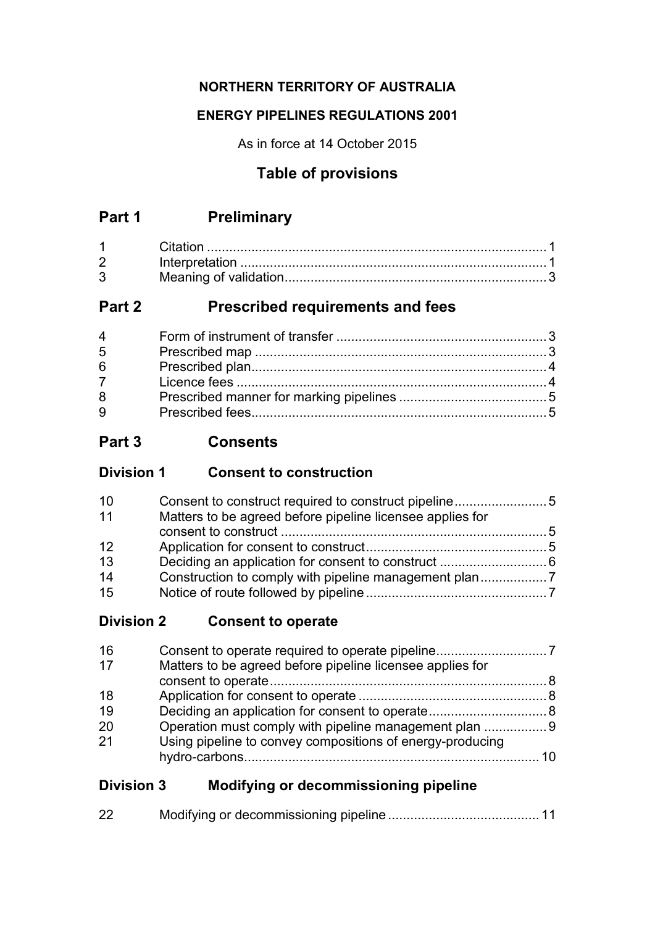## **NORTHERN TERRITORY OF AUSTRALIA**

## **ENERGY PIPELINES REGULATIONS 2001**

As in force at 14 October 2015

# **Table of provisions**

# **Part 1 Preliminary**

| $1 \quad \Box$    |  |
|-------------------|--|
| $2 \qquad \qquad$ |  |
| 3 <sup>1</sup>    |  |

# **Part 2 Prescribed requirements and fees**

| $\overline{4}$ |  |
|----------------|--|
| 5              |  |
| 6              |  |
| $7^{\circ}$    |  |
| 8              |  |
| 9              |  |

# **Part 3 Consents**

| <b>Division 1</b> | <b>Consent to construction</b> |
|-------------------|--------------------------------|
|-------------------|--------------------------------|

| 10 |                                                           |  |
|----|-----------------------------------------------------------|--|
| 11 | Matters to be agreed before pipeline licensee applies for |  |
|    |                                                           |  |
| 12 |                                                           |  |
| 13 |                                                           |  |
| 14 |                                                           |  |
| 15 |                                                           |  |
|    |                                                           |  |

# **Division 2 Consent to operate**

| 16 |                                                           |  |
|----|-----------------------------------------------------------|--|
| 17 | Matters to be agreed before pipeline licensee applies for |  |
|    |                                                           |  |
| 18 |                                                           |  |
| 19 |                                                           |  |
| 20 | Operation must comply with pipeline management plan 9     |  |
| 21 | Using pipeline to convey compositions of energy-producing |  |
|    |                                                           |  |

# **Division 3 Modifying or decommissioning pipeline**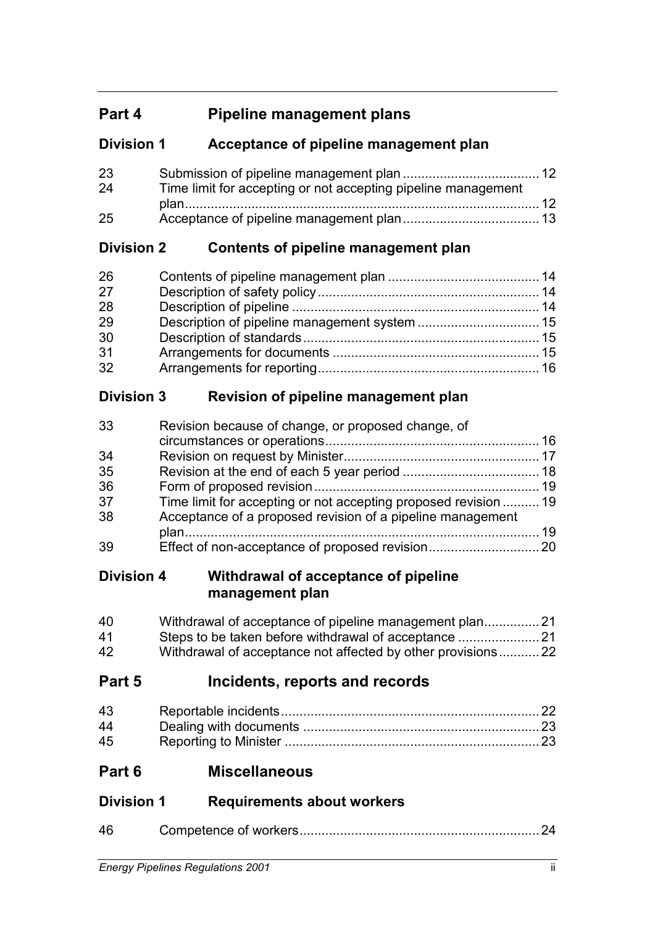# **Part 4 Pipeline management plans**

# **Division 1 Acceptance of pipeline management plan**

| 23 |                                                               |  |
|----|---------------------------------------------------------------|--|
| 24 | Time limit for accepting or not accepting pipeline management |  |
|    |                                                               |  |
| 25 |                                                               |  |

# **Division 2 Contents of pipeline management plan**

# **Division 3 Revision of pipeline management plan**

| 33 | Revision because of change, or proposed change, of              |  |
|----|-----------------------------------------------------------------|--|
|    |                                                                 |  |
| 34 |                                                                 |  |
| 35 |                                                                 |  |
| 36 |                                                                 |  |
| 37 | Time limit for accepting or not accepting proposed revision  19 |  |
| 38 | Acceptance of a proposed revision of a pipeline management      |  |
|    |                                                                 |  |
| 39 |                                                                 |  |

## **Division 4 Withdrawal of acceptance of pipeline management plan**

| 40 |                                                             |  |
|----|-------------------------------------------------------------|--|
| 41 |                                                             |  |
| 42 | Withdrawal of acceptance not affected by other provisions22 |  |

# **Part 5 Incidents, reports and records**

| 43 |  |
|----|--|
| 44 |  |
| 45 |  |

**Part 6 Miscellaneous**

| <b>Division 1</b> | <b>Requirements about workers</b> |
|-------------------|-----------------------------------|
|                   |                                   |

| 46 |  |
|----|--|
|    |  |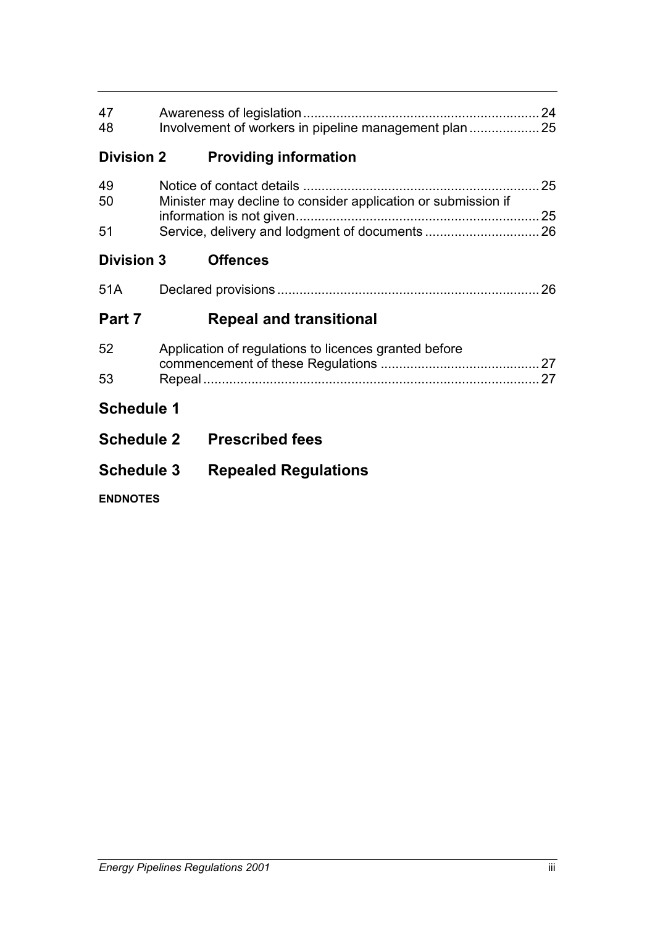| 47<br>48          | Involvement of workers in pipeline management plan            |  |
|-------------------|---------------------------------------------------------------|--|
| <b>Division 2</b> | <b>Providing information</b>                                  |  |
| 49<br>50          | Minister may decline to consider application or submission if |  |
| 51                |                                                               |  |
| <b>Division 3</b> | <b>Offences</b>                                               |  |
| 51A               |                                                               |  |
|                   |                                                               |  |
| Part 7            | <b>Repeal and transitional</b>                                |  |
| 52                | Application of regulations to licences granted before         |  |
| 53                |                                                               |  |
| <b>Schedule 1</b> |                                                               |  |
| <b>Schedule 2</b> | <b>Prescribed fees</b>                                        |  |
| <b>Schedule 3</b> | <b>Repealed Regulations</b>                                   |  |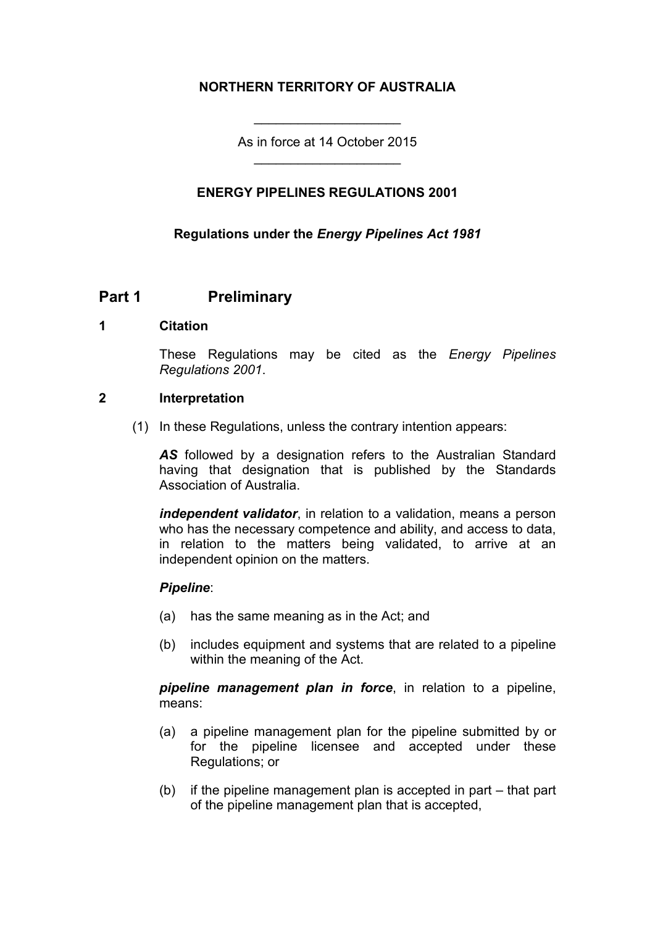## **NORTHERN TERRITORY OF AUSTRALIA**

As in force at 14 October 2015 \_\_\_\_\_\_\_\_\_\_\_\_\_\_\_\_\_\_\_\_

\_\_\_\_\_\_\_\_\_\_\_\_\_\_\_\_\_\_\_\_

#### **ENERGY PIPELINES REGULATIONS 2001**

#### **Regulations under the** *Energy Pipelines Act 1981*

#### **Part 1 Preliminary**

#### **1 Citation**

These Regulations may be cited as the *Energy Pipelines Regulations 2001*.

#### **2 Interpretation**

(1) In these Regulations, unless the contrary intention appears:

*AS* followed by a designation refers to the Australian Standard having that designation that is published by the Standards Association of Australia.

*independent validator*, in relation to a validation, means a person who has the necessary competence and ability, and access to data, in relation to the matters being validated, to arrive at an independent opinion on the matters.

#### *Pipeline*:

- (a) has the same meaning as in the Act; and
- (b) includes equipment and systems that are related to a pipeline within the meaning of the Act.

*pipeline management plan in force*, in relation to a pipeline, means:

- (a) a pipeline management plan for the pipeline submitted by or for the pipeline licensee and accepted under these Regulations; or
- (b) if the pipeline management plan is accepted in part that part of the pipeline management plan that is accepted,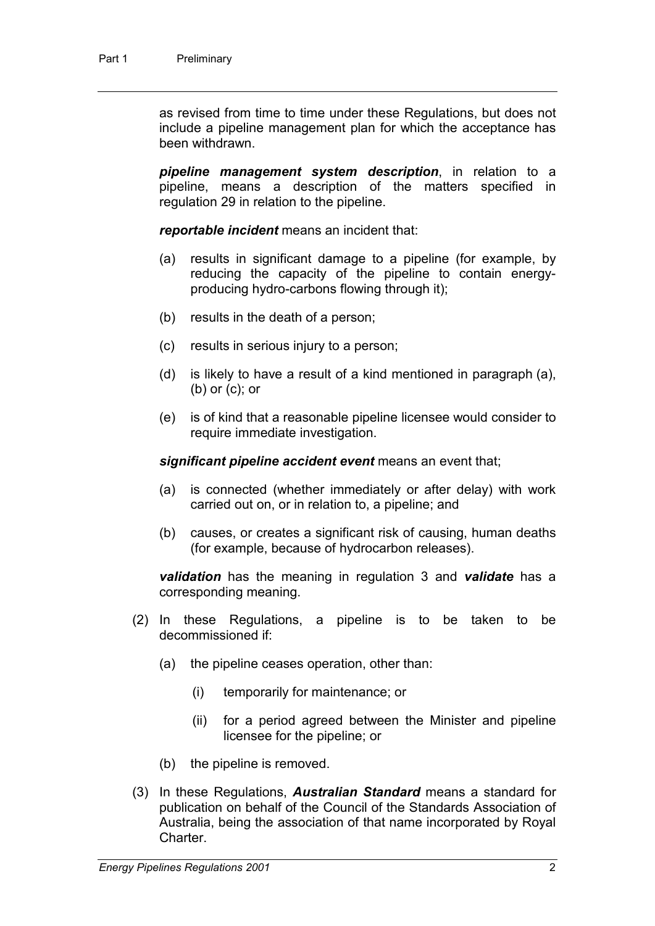as revised from time to time under these Regulations, but does not include a pipeline management plan for which the acceptance has been withdrawn.

*pipeline management system description*, in relation to a pipeline, means a description of the matters specified in regulation 29 in relation to the pipeline.

*reportable incident* means an incident that:

- (a) results in significant damage to a pipeline (for example, by reducing the capacity of the pipeline to contain energyproducing hydro-carbons flowing through it);
- (b) results in the death of a person;
- (c) results in serious injury to a person;
- (d) is likely to have a result of a kind mentioned in paragraph (a), (b) or (c); or
- (e) is of kind that a reasonable pipeline licensee would consider to require immediate investigation.

*significant pipeline accident event* means an event that;

- (a) is connected (whether immediately or after delay) with work carried out on, or in relation to, a pipeline; and
- (b) causes, or creates a significant risk of causing, human deaths (for example, because of hydrocarbon releases).

*validation* has the meaning in regulation 3 and *validate* has a corresponding meaning.

- (2) In these Regulations, a pipeline is to be taken to be decommissioned if:
	- (a) the pipeline ceases operation, other than:
		- (i) temporarily for maintenance; or
		- (ii) for a period agreed between the Minister and pipeline licensee for the pipeline; or
	- (b) the pipeline is removed.
- (3) In these Regulations, *Australian Standard* means a standard for publication on behalf of the Council of the Standards Association of Australia, being the association of that name incorporated by Royal Charter.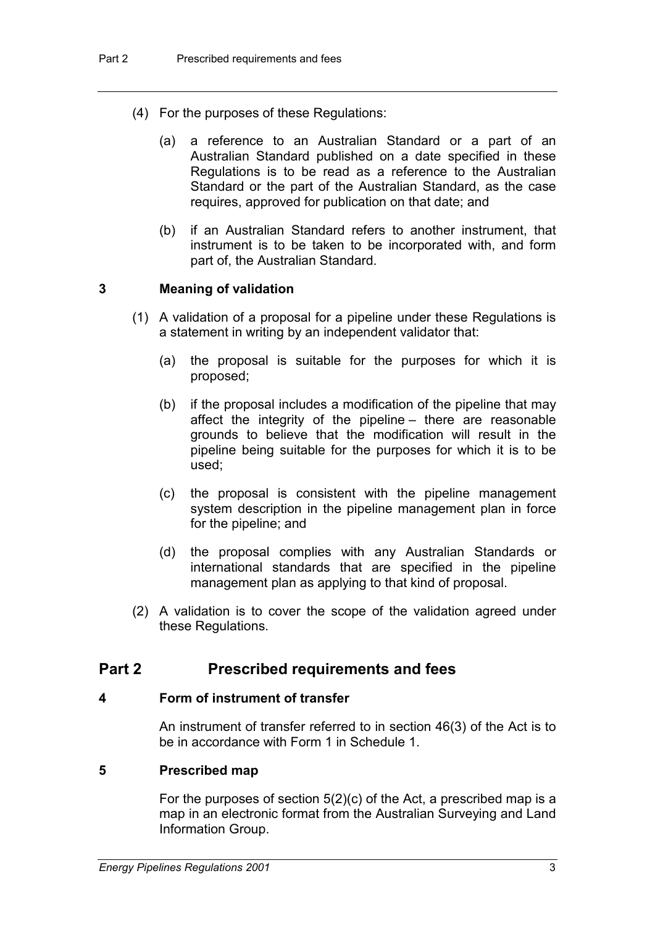- (4) For the purposes of these Regulations:
	- (a) a reference to an Australian Standard or a part of an Australian Standard published on a date specified in these Regulations is to be read as a reference to the Australian Standard or the part of the Australian Standard, as the case requires, approved for publication on that date; and
	- (b) if an Australian Standard refers to another instrument, that instrument is to be taken to be incorporated with, and form part of, the Australian Standard.

#### **3 Meaning of validation**

- (1) A validation of a proposal for a pipeline under these Regulations is a statement in writing by an independent validator that:
	- (a) the proposal is suitable for the purposes for which it is proposed;
	- (b) if the proposal includes a modification of the pipeline that may affect the integrity of the pipeline – there are reasonable grounds to believe that the modification will result in the pipeline being suitable for the purposes for which it is to be used;
	- (c) the proposal is consistent with the pipeline management system description in the pipeline management plan in force for the pipeline; and
	- (d) the proposal complies with any Australian Standards or international standards that are specified in the pipeline management plan as applying to that kind of proposal.
- (2) A validation is to cover the scope of the validation agreed under these Regulations.

## **Part 2 Prescribed requirements and fees**

#### **4 Form of instrument of transfer**

An instrument of transfer referred to in section 46(3) of the Act is to be in accordance with Form 1 in Schedule 1.

#### **5 Prescribed map**

For the purposes of section  $5(2)(c)$  of the Act, a prescribed map is a map in an electronic format from the Australian Surveying and Land Information Group.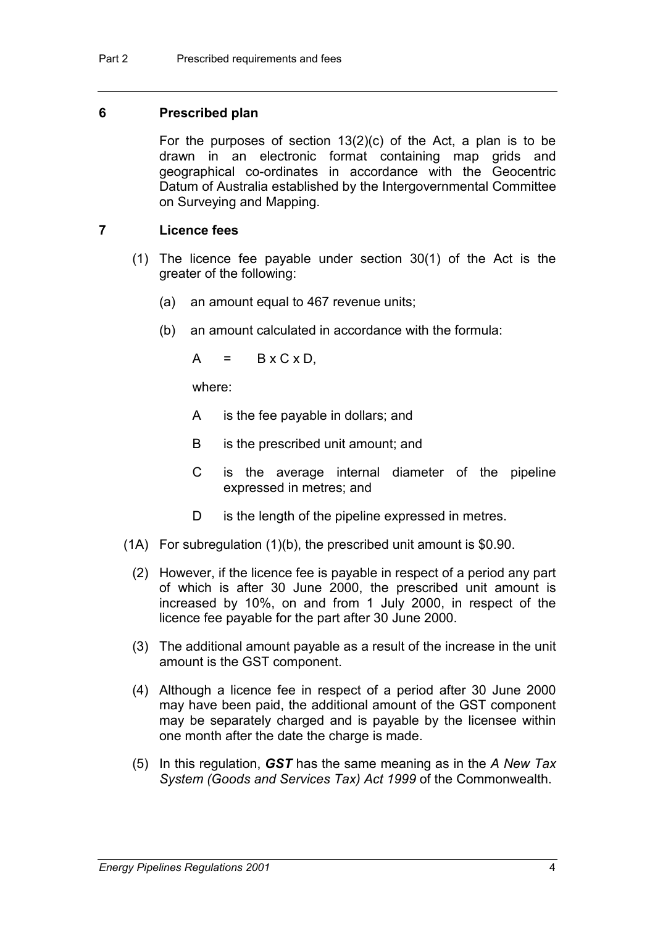#### **6 Prescribed plan**

For the purposes of section 13(2)(c) of the Act, a plan is to be drawn in an electronic format containing map grids and geographical co-ordinates in accordance with the Geocentric Datum of Australia established by the Intergovernmental Committee on Surveying and Mapping.

## **7 Licence fees**

- (1) The licence fee payable under section 30(1) of the Act is the greater of the following:
	- (a) an amount equal to 467 revenue units;
	- (b) an amount calculated in accordance with the formula:

 $A = B \times C \times D$ 

where:

- A is the fee payable in dollars; and
- B is the prescribed unit amount; and
- C is the average internal diameter of the pipeline expressed in metres; and
- D is the length of the pipeline expressed in metres.
- (1A) For subregulation (1)(b), the prescribed unit amount is \$0.90.
	- (2) However, if the licence fee is payable in respect of a period any part of which is after 30 June 2000, the prescribed unit amount is increased by 10%, on and from 1 July 2000, in respect of the licence fee payable for the part after 30 June 2000.
	- (3) The additional amount payable as a result of the increase in the unit amount is the GST component.
	- (4) Although a licence fee in respect of a period after 30 June 2000 may have been paid, the additional amount of the GST component may be separately charged and is payable by the licensee within one month after the date the charge is made.
	- (5) In this regulation, *GST* has the same meaning as in the *A New Tax System (Goods and Services Tax) Act 1999* of the Commonwealth.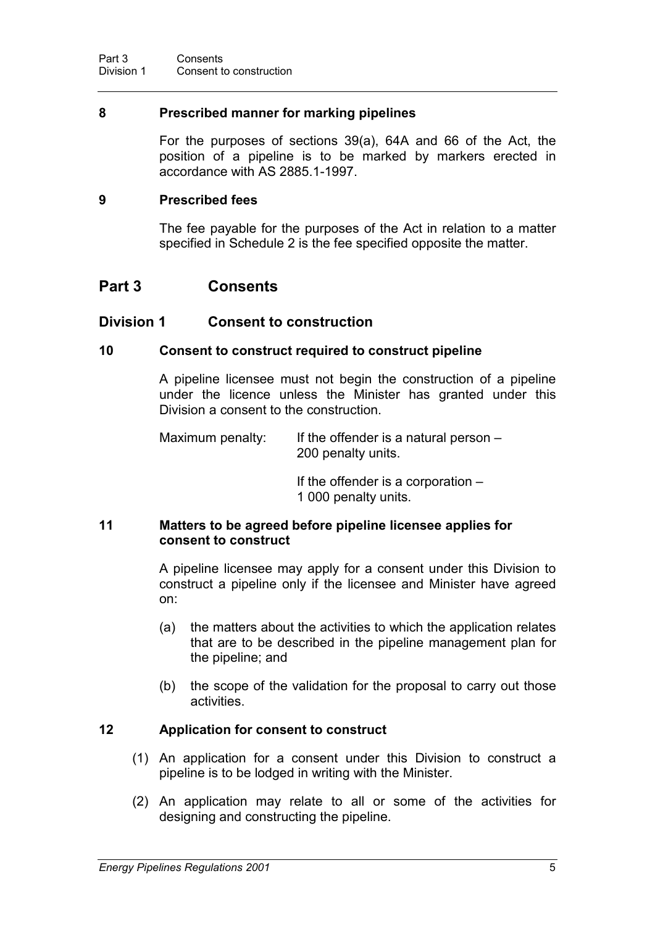#### **8 Prescribed manner for marking pipelines**

For the purposes of sections 39(a), 64A and 66 of the Act, the position of a pipeline is to be marked by markers erected in accordance with AS 2885.1-1997.

#### **9 Prescribed fees**

The fee payable for the purposes of the Act in relation to a matter specified in Schedule 2 is the fee specified opposite the matter.

## **Part 3 Consents**

#### **Division 1 Consent to construction**

#### **10 Consent to construct required to construct pipeline**

A pipeline licensee must not begin the construction of a pipeline under the licence unless the Minister has granted under this Division a consent to the construction.

Maximum penalty: If the offender is a natural person  $-$ 200 penalty units.

> If the offender is a corporation – 1 000 penalty units.

#### **11 Matters to be agreed before pipeline licensee applies for consent to construct**

A pipeline licensee may apply for a consent under this Division to construct a pipeline only if the licensee and Minister have agreed on:

- (a) the matters about the activities to which the application relates that are to be described in the pipeline management plan for the pipeline; and
- (b) the scope of the validation for the proposal to carry out those activities.

#### **12 Application for consent to construct**

- (1) An application for a consent under this Division to construct a pipeline is to be lodged in writing with the Minister.
- (2) An application may relate to all or some of the activities for designing and constructing the pipeline.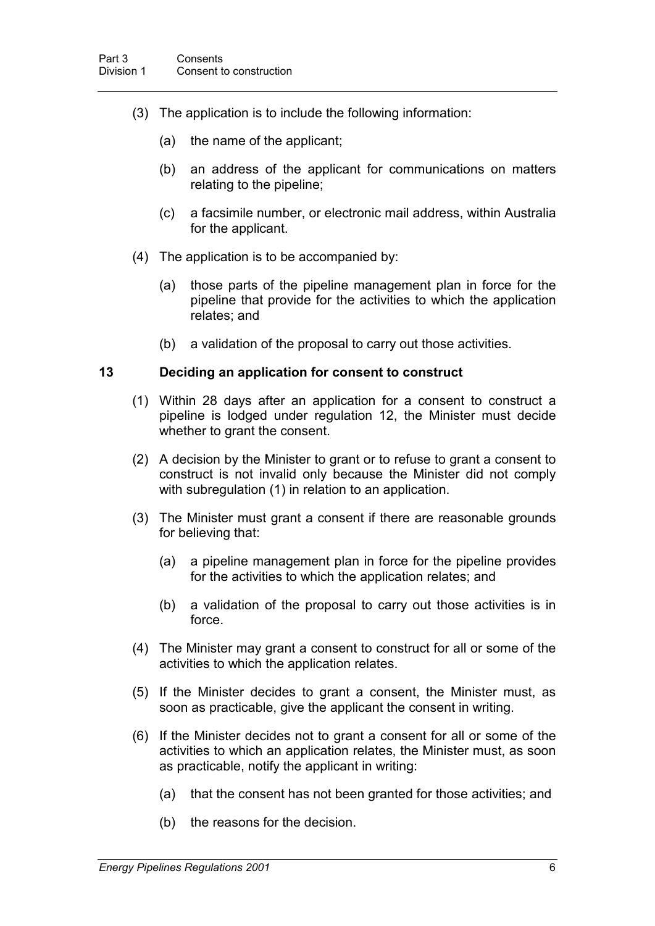- (3) The application is to include the following information:
	- (a) the name of the applicant;
	- (b) an address of the applicant for communications on matters relating to the pipeline;
	- (c) a facsimile number, or electronic mail address, within Australia for the applicant.
- (4) The application is to be accompanied by:
	- (a) those parts of the pipeline management plan in force for the pipeline that provide for the activities to which the application relates; and
	- (b) a validation of the proposal to carry out those activities.

#### **13 Deciding an application for consent to construct**

- (1) Within 28 days after an application for a consent to construct a pipeline is lodged under regulation 12, the Minister must decide whether to grant the consent.
- (2) A decision by the Minister to grant or to refuse to grant a consent to construct is not invalid only because the Minister did not comply with subregulation (1) in relation to an application.
- (3) The Minister must grant a consent if there are reasonable grounds for believing that:
	- (a) a pipeline management plan in force for the pipeline provides for the activities to which the application relates; and
	- (b) a validation of the proposal to carry out those activities is in force.
- (4) The Minister may grant a consent to construct for all or some of the activities to which the application relates.
- (5) If the Minister decides to grant a consent, the Minister must, as soon as practicable, give the applicant the consent in writing.
- (6) If the Minister decides not to grant a consent for all or some of the activities to which an application relates, the Minister must, as soon as practicable, notify the applicant in writing:
	- (a) that the consent has not been granted for those activities; and
	- (b) the reasons for the decision.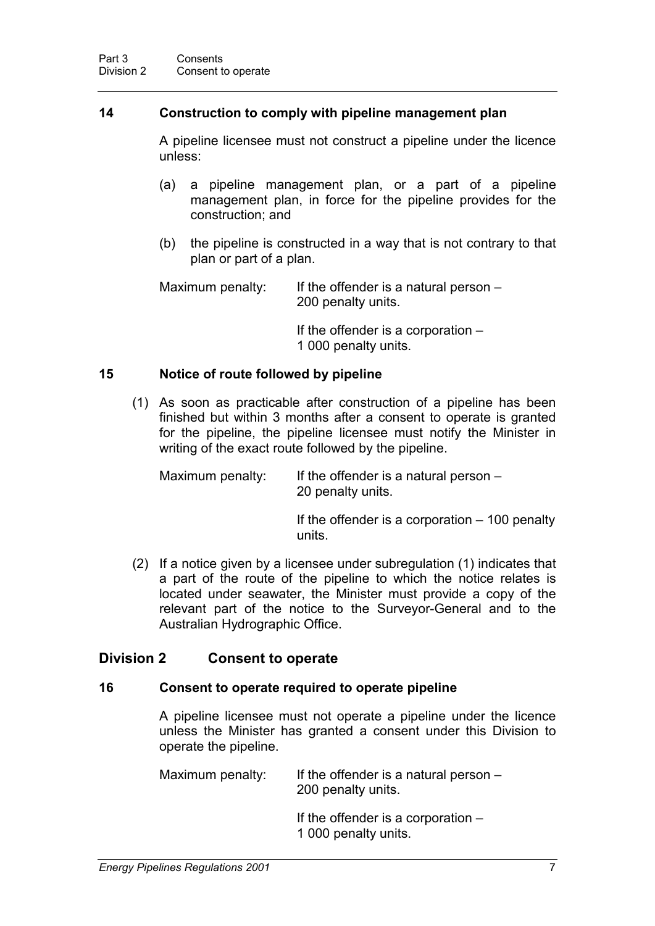#### **14 Construction to comply with pipeline management plan**

A pipeline licensee must not construct a pipeline under the licence unless:

- (a) a pipeline management plan, or a part of a pipeline management plan, in force for the pipeline provides for the construction; and
- (b) the pipeline is constructed in a way that is not contrary to that plan or part of a plan.

Maximum penalty: If the offender is a natural person  $-$ 200 penalty units.

> If the offender is a corporation – 1 000 penalty units.

#### **15 Notice of route followed by pipeline**

(1) As soon as practicable after construction of a pipeline has been finished but within 3 months after a consent to operate is granted for the pipeline, the pipeline licensee must notify the Minister in writing of the exact route followed by the pipeline.

Maximum penalty: If the offender is a natural person  $-$ 20 penalty units.

> If the offender is a corporation – 100 penalty units.

(2) If a notice given by a licensee under subregulation (1) indicates that a part of the route of the pipeline to which the notice relates is located under seawater, the Minister must provide a copy of the relevant part of the notice to the Surveyor-General and to the Australian Hydrographic Office.

## **Division 2 Consent to operate**

#### **16 Consent to operate required to operate pipeline**

A pipeline licensee must not operate a pipeline under the licence unless the Minister has granted a consent under this Division to operate the pipeline.

Maximum penalty: If the offender is a natural person  $-$ 200 penalty units.

- If the offender is a corporation –
- 1 000 penalty units.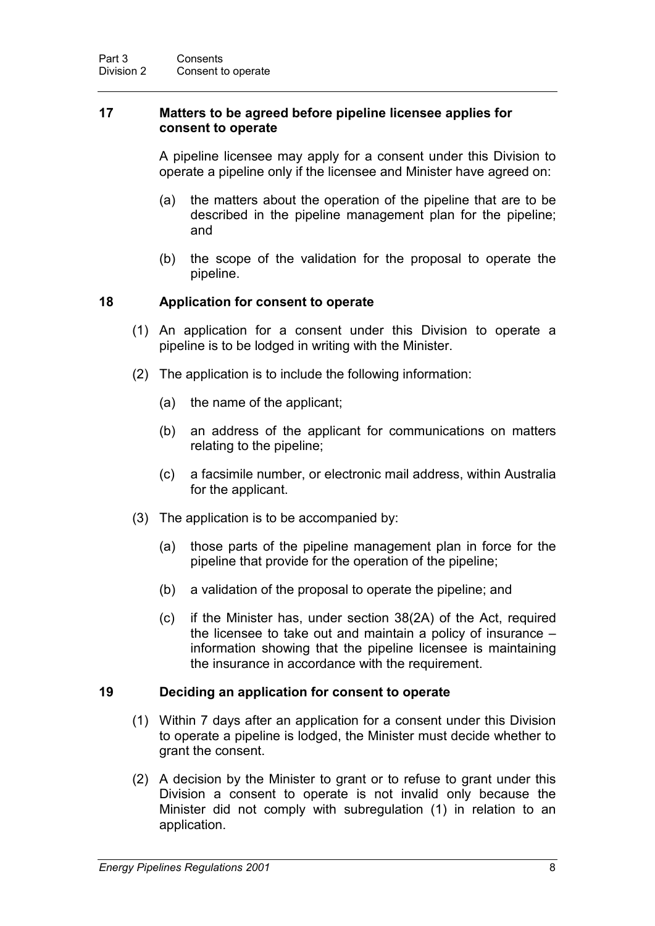#### **17 Matters to be agreed before pipeline licensee applies for consent to operate**

A pipeline licensee may apply for a consent under this Division to operate a pipeline only if the licensee and Minister have agreed on:

- (a) the matters about the operation of the pipeline that are to be described in the pipeline management plan for the pipeline; and
- (b) the scope of the validation for the proposal to operate the pipeline.

#### **18 Application for consent to operate**

- (1) An application for a consent under this Division to operate a pipeline is to be lodged in writing with the Minister.
- (2) The application is to include the following information:
	- (a) the name of the applicant;
	- (b) an address of the applicant for communications on matters relating to the pipeline;
	- (c) a facsimile number, or electronic mail address, within Australia for the applicant.
- (3) The application is to be accompanied by:
	- (a) those parts of the pipeline management plan in force for the pipeline that provide for the operation of the pipeline;
	- (b) a validation of the proposal to operate the pipeline; and
	- (c) if the Minister has, under section 38(2A) of the Act, required the licensee to take out and maintain a policy of insurance – information showing that the pipeline licensee is maintaining the insurance in accordance with the requirement.

#### **19 Deciding an application for consent to operate**

- (1) Within 7 days after an application for a consent under this Division to operate a pipeline is lodged, the Minister must decide whether to grant the consent.
- (2) A decision by the Minister to grant or to refuse to grant under this Division a consent to operate is not invalid only because the Minister did not comply with subregulation (1) in relation to an application.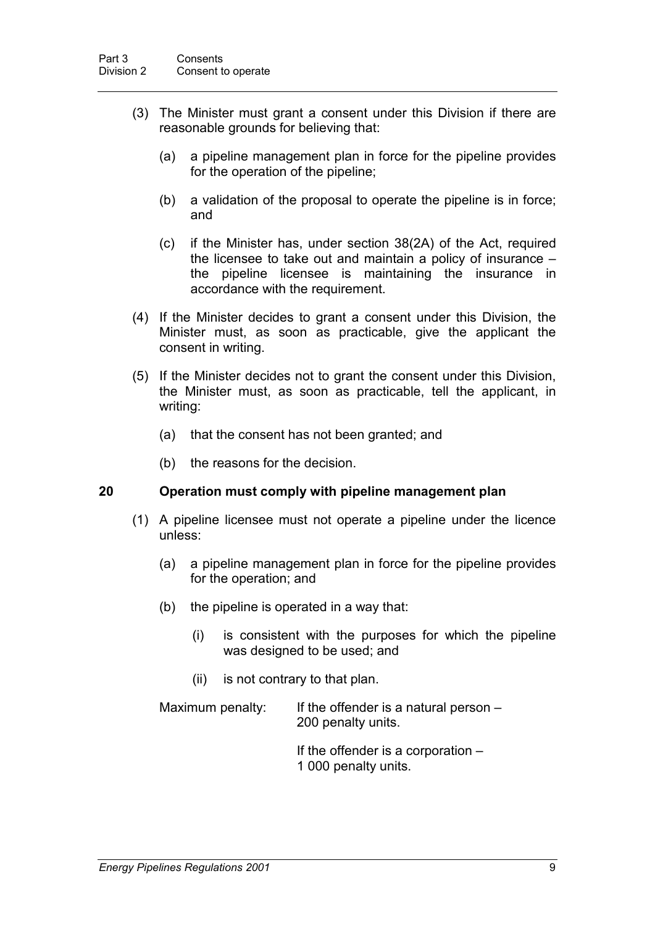- (3) The Minister must grant a consent under this Division if there are reasonable grounds for believing that:
	- (a) a pipeline management plan in force for the pipeline provides for the operation of the pipeline;
	- (b) a validation of the proposal to operate the pipeline is in force; and
	- (c) if the Minister has, under section 38(2A) of the Act, required the licensee to take out and maintain a policy of insurance – the pipeline licensee is maintaining the insurance in accordance with the requirement.
- (4) If the Minister decides to grant a consent under this Division, the Minister must, as soon as practicable, give the applicant the consent in writing.
- (5) If the Minister decides not to grant the consent under this Division, the Minister must, as soon as practicable, tell the applicant, in writing:
	- (a) that the consent has not been granted; and
	- (b) the reasons for the decision.

#### **20 Operation must comply with pipeline management plan**

- (1) A pipeline licensee must not operate a pipeline under the licence unless:
	- (a) a pipeline management plan in force for the pipeline provides for the operation; and
	- (b) the pipeline is operated in a way that:
		- (i) is consistent with the purposes for which the pipeline was designed to be used; and
		- (ii) is not contrary to that plan.

Maximum penalty: If the offender is a natural person  $-$ 200 penalty units.

> If the offender is a corporation  $-$ 1 000 penalty units.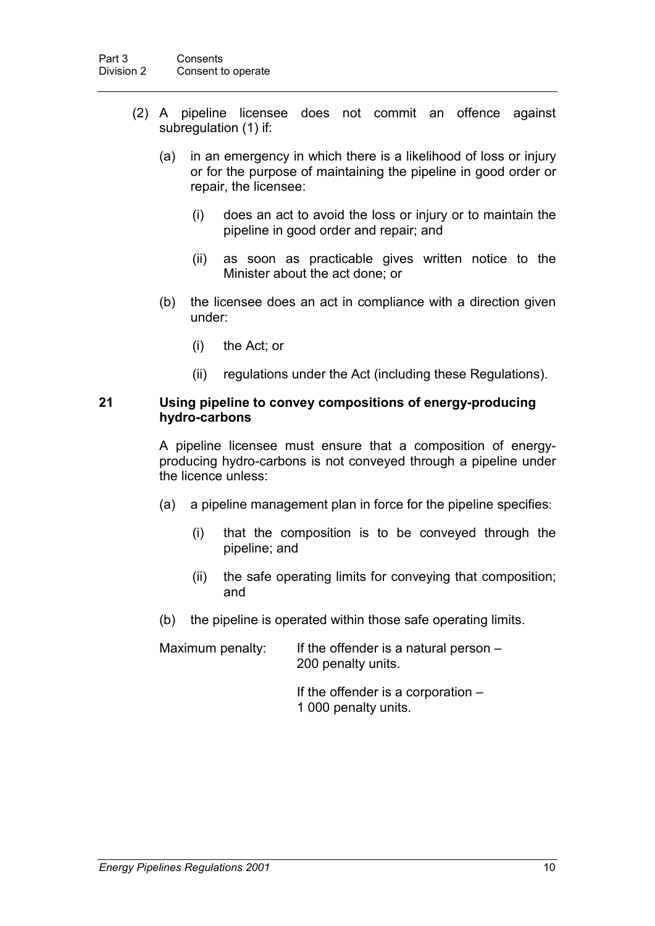- (2) A pipeline licensee does not commit an offence against subregulation (1) if:
	- (a) in an emergency in which there is a likelihood of loss or injury or for the purpose of maintaining the pipeline in good order or repair, the licensee:
		- (i) does an act to avoid the loss or injury or to maintain the pipeline in good order and repair; and
		- (ii) as soon as practicable gives written notice to the Minister about the act done; or
	- (b) the licensee does an act in compliance with a direction given under:
		- (i) the Act; or
		- (ii) regulations under the Act (including these Regulations).

#### **21 Using pipeline to convey compositions of energy-producing hydro-carbons**

A pipeline licensee must ensure that a composition of energyproducing hydro-carbons is not conveyed through a pipeline under the licence unless:

- (a) a pipeline management plan in force for the pipeline specifies:
	- (i) that the composition is to be conveyed through the pipeline; and
	- (ii) the safe operating limits for conveying that composition; and
- (b) the pipeline is operated within those safe operating limits.

Maximum penalty: If the offender is a natural person  $-$ 200 penalty units.

- If the offender is a corporation –
- 1 000 penalty units.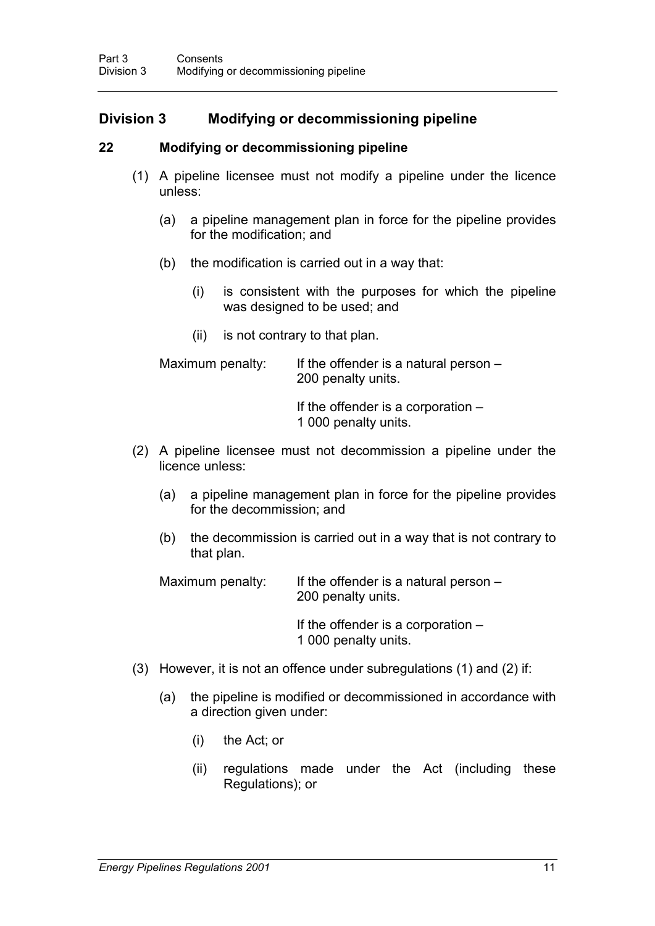## **Division 3 Modifying or decommissioning pipeline**

#### **22 Modifying or decommissioning pipeline**

- (1) A pipeline licensee must not modify a pipeline under the licence unless:
	- (a) a pipeline management plan in force for the pipeline provides for the modification; and
	- (b) the modification is carried out in a way that:
		- (i) is consistent with the purposes for which the pipeline was designed to be used; and
		- (ii) is not contrary to that plan.

Maximum penalty: If the offender is a natural person – 200 penalty units.

> If the offender is a corporation – 1 000 penalty units.

- (2) A pipeline licensee must not decommission a pipeline under the licence unless:
	- (a) a pipeline management plan in force for the pipeline provides for the decommission; and
	- (b) the decommission is carried out in a way that is not contrary to that plan.

Maximum penalty: If the offender is a natural person – 200 penalty units.

> If the offender is a corporation – 1 000 penalty units.

- (3) However, it is not an offence under subregulations (1) and (2) if:
	- (a) the pipeline is modified or decommissioned in accordance with a direction given under:
		- (i) the Act; or
		- (ii) regulations made under the Act (including these Regulations); or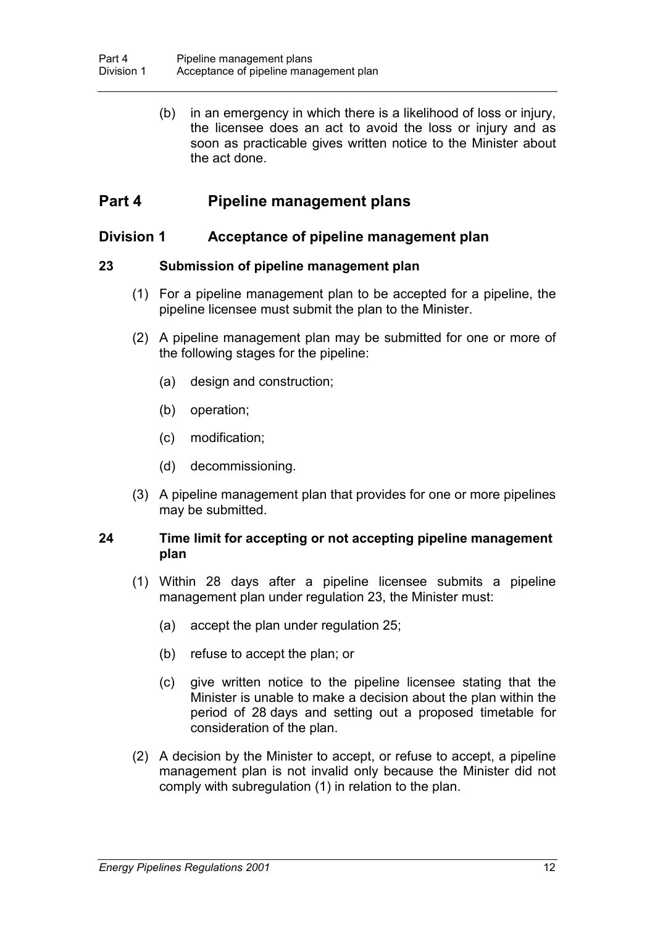(b) in an emergency in which there is a likelihood of loss or injury, the licensee does an act to avoid the loss or injury and as soon as practicable gives written notice to the Minister about the act done.

## **Part 4 Pipeline management plans**

## **Division 1 Acceptance of pipeline management plan**

#### **23 Submission of pipeline management plan**

- (1) For a pipeline management plan to be accepted for a pipeline, the pipeline licensee must submit the plan to the Minister.
- (2) A pipeline management plan may be submitted for one or more of the following stages for the pipeline:
	- (a) design and construction;
	- (b) operation;
	- (c) modification;
	- (d) decommissioning.
- (3) A pipeline management plan that provides for one or more pipelines may be submitted.

#### **24 Time limit for accepting or not accepting pipeline management plan**

- (1) Within 28 days after a pipeline licensee submits a pipeline management plan under regulation 23, the Minister must:
	- (a) accept the plan under regulation 25;
	- (b) refuse to accept the plan; or
	- (c) give written notice to the pipeline licensee stating that the Minister is unable to make a decision about the plan within the period of 28 days and setting out a proposed timetable for consideration of the plan.
- (2) A decision by the Minister to accept, or refuse to accept, a pipeline management plan is not invalid only because the Minister did not comply with subregulation (1) in relation to the plan.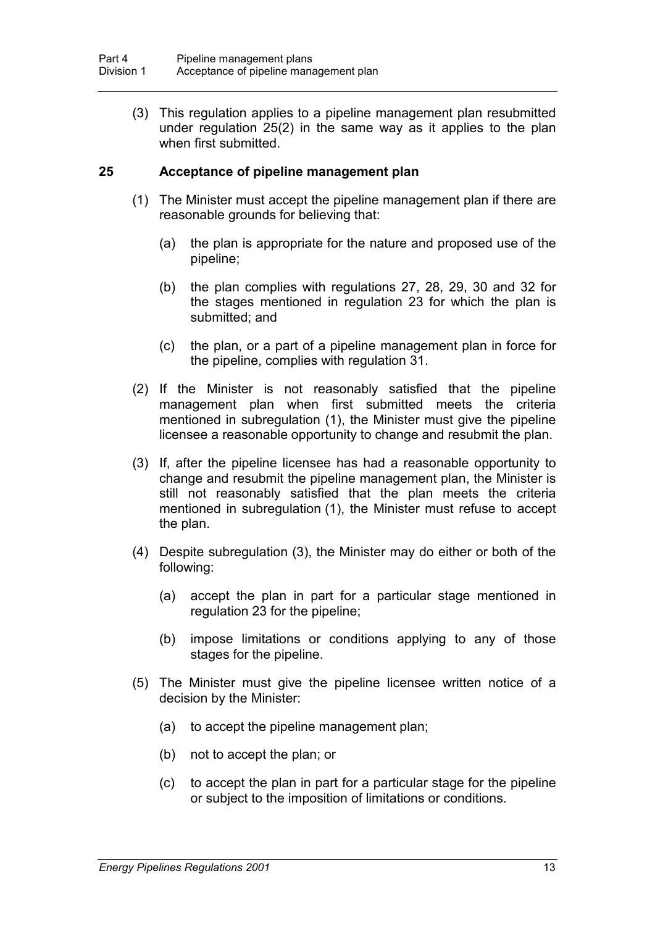(3) This regulation applies to a pipeline management plan resubmitted under regulation 25(2) in the same way as it applies to the plan when first submitted.

#### **25 Acceptance of pipeline management plan**

- (1) The Minister must accept the pipeline management plan if there are reasonable grounds for believing that:
	- (a) the plan is appropriate for the nature and proposed use of the pipeline;
	- (b) the plan complies with regulations 27, 28, 29, 30 and 32 for the stages mentioned in regulation 23 for which the plan is submitted; and
	- (c) the plan, or a part of a pipeline management plan in force for the pipeline, complies with regulation 31.
- (2) If the Minister is not reasonably satisfied that the pipeline management plan when first submitted meets the criteria mentioned in subregulation (1), the Minister must give the pipeline licensee a reasonable opportunity to change and resubmit the plan.
- (3) If, after the pipeline licensee has had a reasonable opportunity to change and resubmit the pipeline management plan, the Minister is still not reasonably satisfied that the plan meets the criteria mentioned in subregulation (1), the Minister must refuse to accept the plan.
- (4) Despite subregulation (3), the Minister may do either or both of the following:
	- (a) accept the plan in part for a particular stage mentioned in regulation 23 for the pipeline;
	- (b) impose limitations or conditions applying to any of those stages for the pipeline.
- (5) The Minister must give the pipeline licensee written notice of a decision by the Minister:
	- (a) to accept the pipeline management plan;
	- (b) not to accept the plan; or
	- (c) to accept the plan in part for a particular stage for the pipeline or subject to the imposition of limitations or conditions.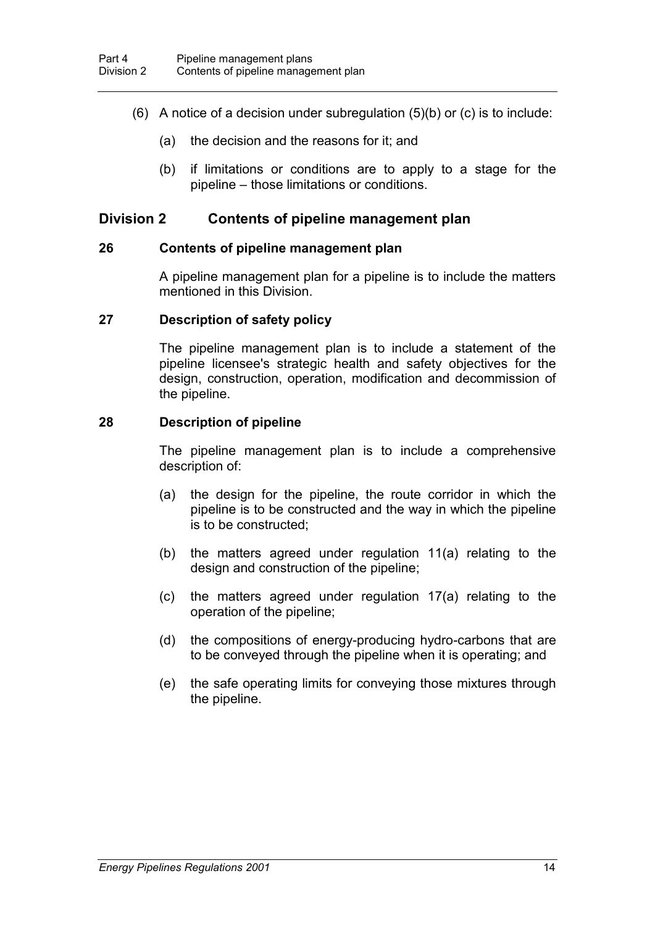- (6) A notice of a decision under subregulation  $(5)(b)$  or  $(c)$  is to include:
	- (a) the decision and the reasons for it; and
	- (b) if limitations or conditions are to apply to a stage for the pipeline – those limitations or conditions.

### **Division 2 Contents of pipeline management plan**

#### **26 Contents of pipeline management plan**

A pipeline management plan for a pipeline is to include the matters mentioned in this Division.

#### **27 Description of safety policy**

The pipeline management plan is to include a statement of the pipeline licensee's strategic health and safety objectives for the design, construction, operation, modification and decommission of the pipeline.

#### **28 Description of pipeline**

The pipeline management plan is to include a comprehensive description of:

- (a) the design for the pipeline, the route corridor in which the pipeline is to be constructed and the way in which the pipeline is to be constructed;
- (b) the matters agreed under regulation 11(a) relating to the design and construction of the pipeline;
- (c) the matters agreed under regulation 17(a) relating to the operation of the pipeline;
- (d) the compositions of energy-producing hydro-carbons that are to be conveyed through the pipeline when it is operating; and
- (e) the safe operating limits for conveying those mixtures through the pipeline.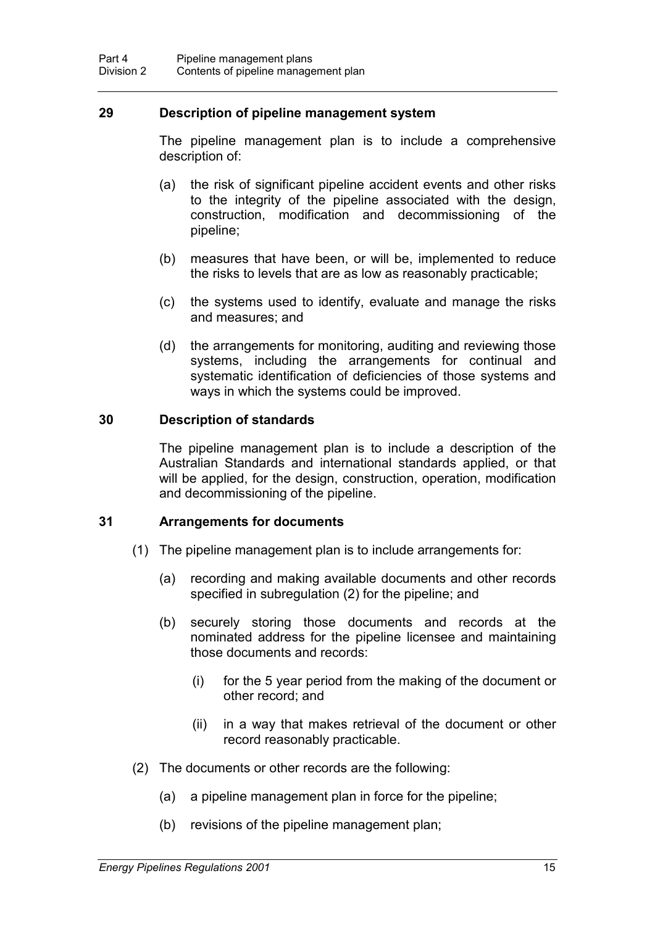#### **29 Description of pipeline management system**

The pipeline management plan is to include a comprehensive description of:

- (a) the risk of significant pipeline accident events and other risks to the integrity of the pipeline associated with the design, construction, modification and decommissioning of the pipeline;
- (b) measures that have been, or will be, implemented to reduce the risks to levels that are as low as reasonably practicable;
- (c) the systems used to identify, evaluate and manage the risks and measures; and
- (d) the arrangements for monitoring, auditing and reviewing those systems, including the arrangements for continual and systematic identification of deficiencies of those systems and ways in which the systems could be improved.

#### **30 Description of standards**

The pipeline management plan is to include a description of the Australian Standards and international standards applied, or that will be applied, for the design, construction, operation, modification and decommissioning of the pipeline.

#### **31 Arrangements for documents**

- (1) The pipeline management plan is to include arrangements for:
	- (a) recording and making available documents and other records specified in subregulation (2) for the pipeline; and
	- (b) securely storing those documents and records at the nominated address for the pipeline licensee and maintaining those documents and records:
		- (i) for the 5 year period from the making of the document or other record; and
		- (ii) in a way that makes retrieval of the document or other record reasonably practicable.
- (2) The documents or other records are the following:
	- (a) a pipeline management plan in force for the pipeline;
	- (b) revisions of the pipeline management plan;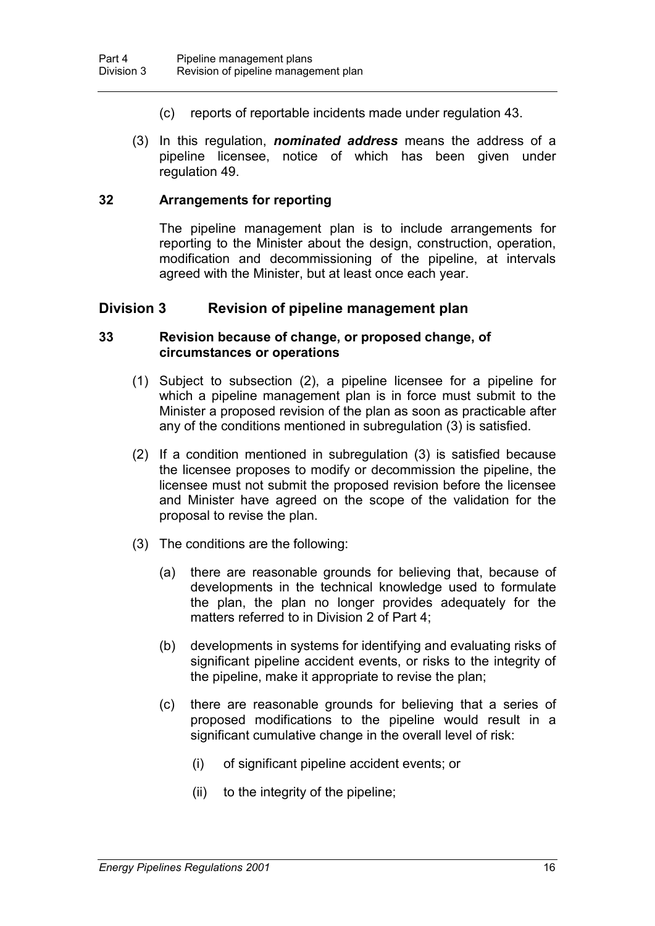- (c) reports of reportable incidents made under regulation 43.
- (3) In this regulation, *nominated address* means the address of a pipeline licensee, notice of which has been given under regulation 49.

#### **32 Arrangements for reporting**

The pipeline management plan is to include arrangements for reporting to the Minister about the design, construction, operation, modification and decommissioning of the pipeline, at intervals agreed with the Minister, but at least once each year.

#### **Division 3 Revision of pipeline management plan**

#### **33 Revision because of change, or proposed change, of circumstances or operations**

- (1) Subject to subsection (2), a pipeline licensee for a pipeline for which a pipeline management plan is in force must submit to the Minister a proposed revision of the plan as soon as practicable after any of the conditions mentioned in subregulation (3) is satisfied.
- (2) If a condition mentioned in subregulation (3) is satisfied because the licensee proposes to modify or decommission the pipeline, the licensee must not submit the proposed revision before the licensee and Minister have agreed on the scope of the validation for the proposal to revise the plan.
- (3) The conditions are the following:
	- (a) there are reasonable grounds for believing that, because of developments in the technical knowledge used to formulate the plan, the plan no longer provides adequately for the matters referred to in Division 2 of Part 4;
	- (b) developments in systems for identifying and evaluating risks of significant pipeline accident events, or risks to the integrity of the pipeline, make it appropriate to revise the plan;
	- (c) there are reasonable grounds for believing that a series of proposed modifications to the pipeline would result in a significant cumulative change in the overall level of risk:
		- (i) of significant pipeline accident events; or
		- (ii) to the integrity of the pipeline;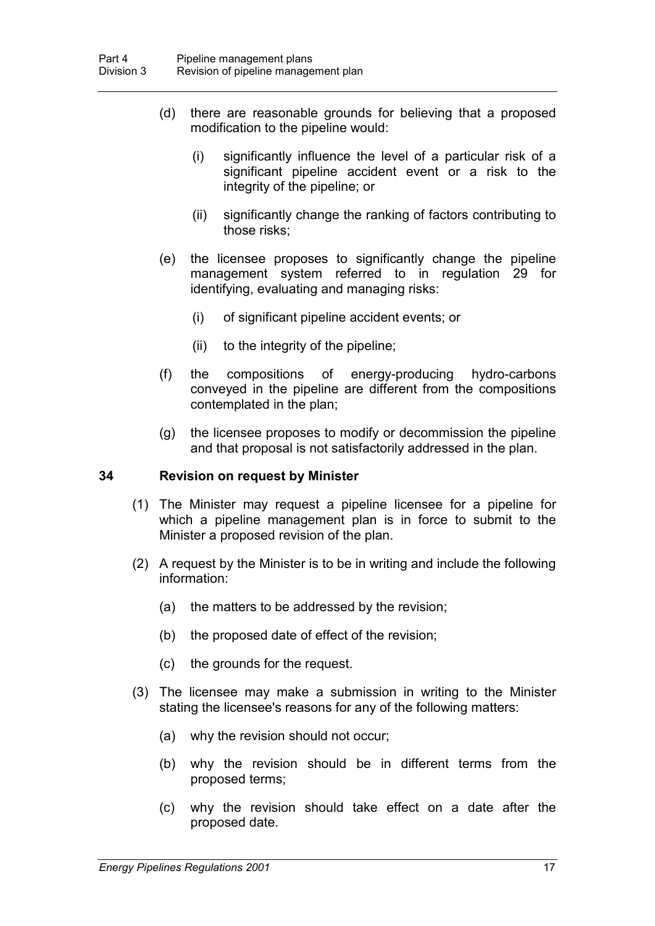- (d) there are reasonable grounds for believing that a proposed modification to the pipeline would:
	- (i) significantly influence the level of a particular risk of a significant pipeline accident event or a risk to the integrity of the pipeline; or
	- (ii) significantly change the ranking of factors contributing to those risks;
- (e) the licensee proposes to significantly change the pipeline management system referred to in regulation 29 for identifying, evaluating and managing risks:
	- (i) of significant pipeline accident events; or
	- (ii) to the integrity of the pipeline;
- (f) the compositions of energy-producing hydro-carbons conveyed in the pipeline are different from the compositions contemplated in the plan;
- (g) the licensee proposes to modify or decommission the pipeline and that proposal is not satisfactorily addressed in the plan.

#### **34 Revision on request by Minister**

- (1) The Minister may request a pipeline licensee for a pipeline for which a pipeline management plan is in force to submit to the Minister a proposed revision of the plan.
- (2) A request by the Minister is to be in writing and include the following information:
	- (a) the matters to be addressed by the revision;
	- (b) the proposed date of effect of the revision;
	- (c) the grounds for the request.
- (3) The licensee may make a submission in writing to the Minister stating the licensee's reasons for any of the following matters:
	- (a) why the revision should not occur;
	- (b) why the revision should be in different terms from the proposed terms;
	- (c) why the revision should take effect on a date after the proposed date.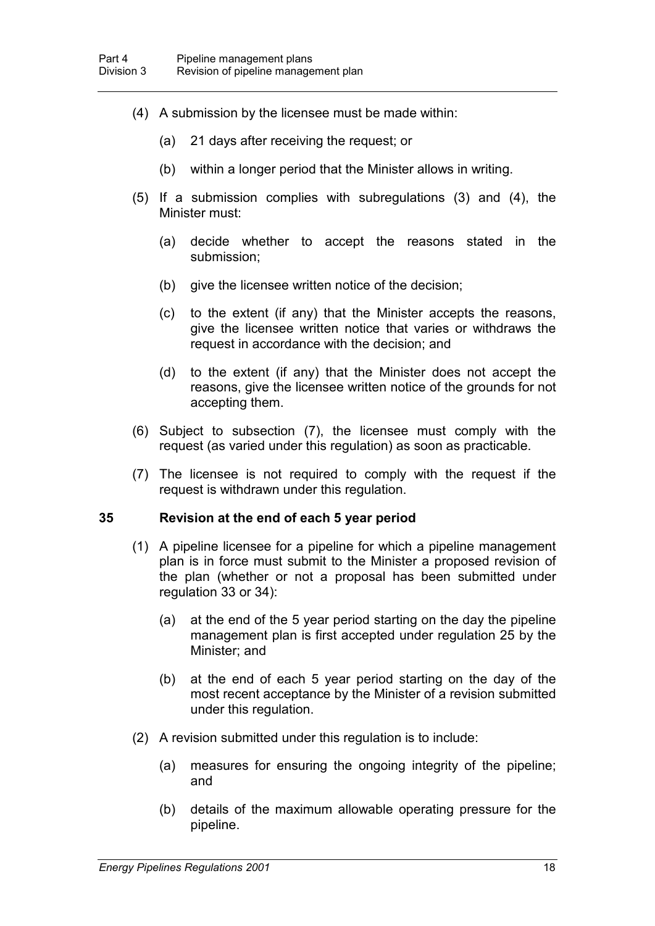- (4) A submission by the licensee must be made within:
	- (a) 21 days after receiving the request; or
	- (b) within a longer period that the Minister allows in writing.
- (5) If a submission complies with subregulations (3) and (4), the Minister must:
	- (a) decide whether to accept the reasons stated in the submission;
	- (b) give the licensee written notice of the decision;
	- (c) to the extent (if any) that the Minister accepts the reasons, give the licensee written notice that varies or withdraws the request in accordance with the decision; and
	- (d) to the extent (if any) that the Minister does not accept the reasons, give the licensee written notice of the grounds for not accepting them.
- (6) Subject to subsection (7), the licensee must comply with the request (as varied under this regulation) as soon as practicable.
- (7) The licensee is not required to comply with the request if the request is withdrawn under this regulation.

#### **35 Revision at the end of each 5 year period**

- (1) A pipeline licensee for a pipeline for which a pipeline management plan is in force must submit to the Minister a proposed revision of the plan (whether or not a proposal has been submitted under regulation 33 or 34):
	- (a) at the end of the 5 year period starting on the day the pipeline management plan is first accepted under regulation 25 by the Minister; and
	- (b) at the end of each 5 year period starting on the day of the most recent acceptance by the Minister of a revision submitted under this regulation.
- (2) A revision submitted under this regulation is to include:
	- (a) measures for ensuring the ongoing integrity of the pipeline; and
	- (b) details of the maximum allowable operating pressure for the pipeline.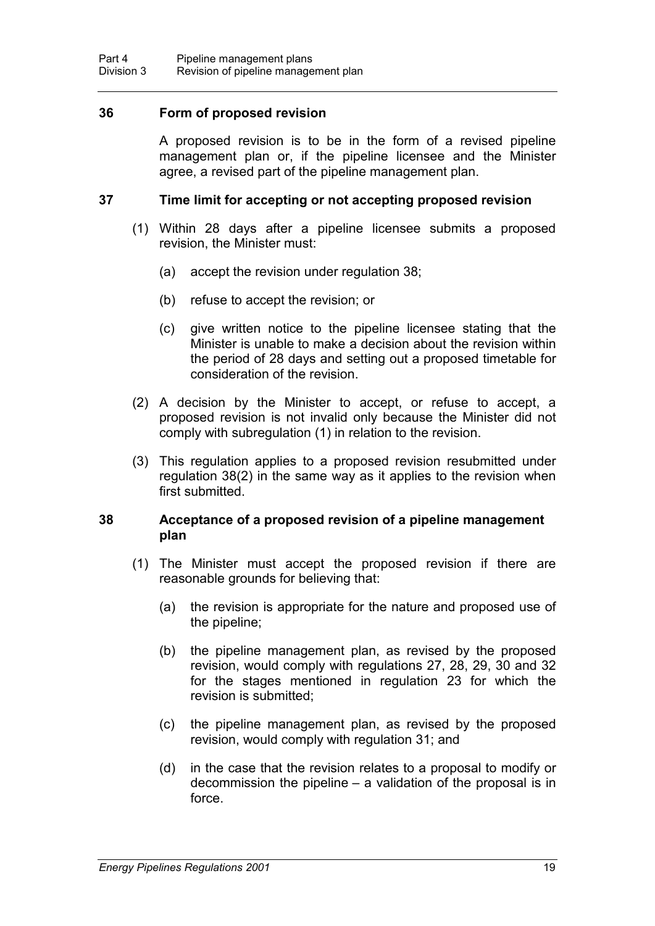#### **36 Form of proposed revision**

A proposed revision is to be in the form of a revised pipeline management plan or, if the pipeline licensee and the Minister agree, a revised part of the pipeline management plan.

#### **37 Time limit for accepting or not accepting proposed revision**

- (1) Within 28 days after a pipeline licensee submits a proposed revision, the Minister must:
	- (a) accept the revision under regulation 38;
	- (b) refuse to accept the revision; or
	- (c) give written notice to the pipeline licensee stating that the Minister is unable to make a decision about the revision within the period of 28 days and setting out a proposed timetable for consideration of the revision.
- (2) A decision by the Minister to accept, or refuse to accept, a proposed revision is not invalid only because the Minister did not comply with subregulation (1) in relation to the revision.
- (3) This regulation applies to a proposed revision resubmitted under regulation 38(2) in the same way as it applies to the revision when first submitted.

#### **38 Acceptance of a proposed revision of a pipeline management plan**

- (1) The Minister must accept the proposed revision if there are reasonable grounds for believing that:
	- (a) the revision is appropriate for the nature and proposed use of the pipeline;
	- (b) the pipeline management plan, as revised by the proposed revision, would comply with regulations 27, 28, 29, 30 and 32 for the stages mentioned in regulation 23 for which the revision is submitted;
	- (c) the pipeline management plan, as revised by the proposed revision, would comply with regulation 31; and
	- (d) in the case that the revision relates to a proposal to modify or decommission the pipeline – a validation of the proposal is in force.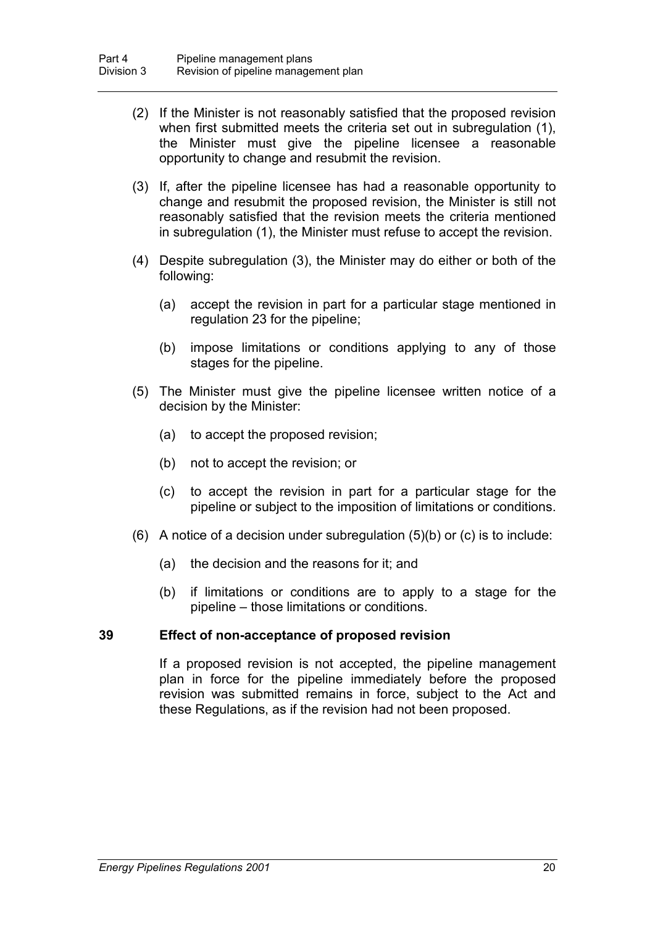- (2) If the Minister is not reasonably satisfied that the proposed revision when first submitted meets the criteria set out in subregulation (1), the Minister must give the pipeline licensee a reasonable opportunity to change and resubmit the revision.
- (3) If, after the pipeline licensee has had a reasonable opportunity to change and resubmit the proposed revision, the Minister is still not reasonably satisfied that the revision meets the criteria mentioned in subregulation (1), the Minister must refuse to accept the revision.
- (4) Despite subregulation (3), the Minister may do either or both of the following:
	- (a) accept the revision in part for a particular stage mentioned in regulation 23 for the pipeline;
	- (b) impose limitations or conditions applying to any of those stages for the pipeline.
- (5) The Minister must give the pipeline licensee written notice of a decision by the Minister:
	- (a) to accept the proposed revision;
	- (b) not to accept the revision; or
	- (c) to accept the revision in part for a particular stage for the pipeline or subject to the imposition of limitations or conditions.
- (6) A notice of a decision under subregulation (5)(b) or (c) is to include:
	- (a) the decision and the reasons for it; and
	- (b) if limitations or conditions are to apply to a stage for the pipeline – those limitations or conditions.

#### **39 Effect of non-acceptance of proposed revision**

If a proposed revision is not accepted, the pipeline management plan in force for the pipeline immediately before the proposed revision was submitted remains in force, subject to the Act and these Regulations, as if the revision had not been proposed.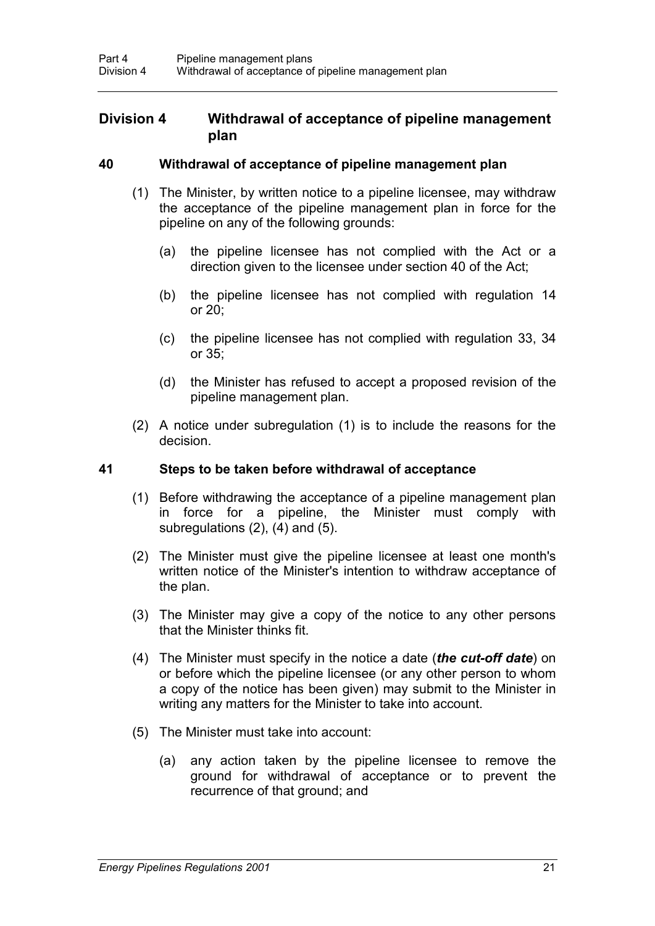## **Division 4 Withdrawal of acceptance of pipeline management plan**

#### **40 Withdrawal of acceptance of pipeline management plan**

- (1) The Minister, by written notice to a pipeline licensee, may withdraw the acceptance of the pipeline management plan in force for the pipeline on any of the following grounds:
	- (a) the pipeline licensee has not complied with the Act or a direction given to the licensee under section 40 of the Act;
	- (b) the pipeline licensee has not complied with regulation 14 or 20;
	- (c) the pipeline licensee has not complied with regulation 33, 34 or 35;
	- (d) the Minister has refused to accept a proposed revision of the pipeline management plan.
- (2) A notice under subregulation (1) is to include the reasons for the decision.

#### **41 Steps to be taken before withdrawal of acceptance**

- (1) Before withdrawing the acceptance of a pipeline management plan in force for a pipeline, the Minister must comply with subregulations (2), (4) and (5).
- (2) The Minister must give the pipeline licensee at least one month's written notice of the Minister's intention to withdraw acceptance of the plan.
- (3) The Minister may give a copy of the notice to any other persons that the Minister thinks fit.
- (4) The Minister must specify in the notice a date (*the cut-off date*) on or before which the pipeline licensee (or any other person to whom a copy of the notice has been given) may submit to the Minister in writing any matters for the Minister to take into account.
- (5) The Minister must take into account:
	- (a) any action taken by the pipeline licensee to remove the ground for withdrawal of acceptance or to prevent the recurrence of that ground; and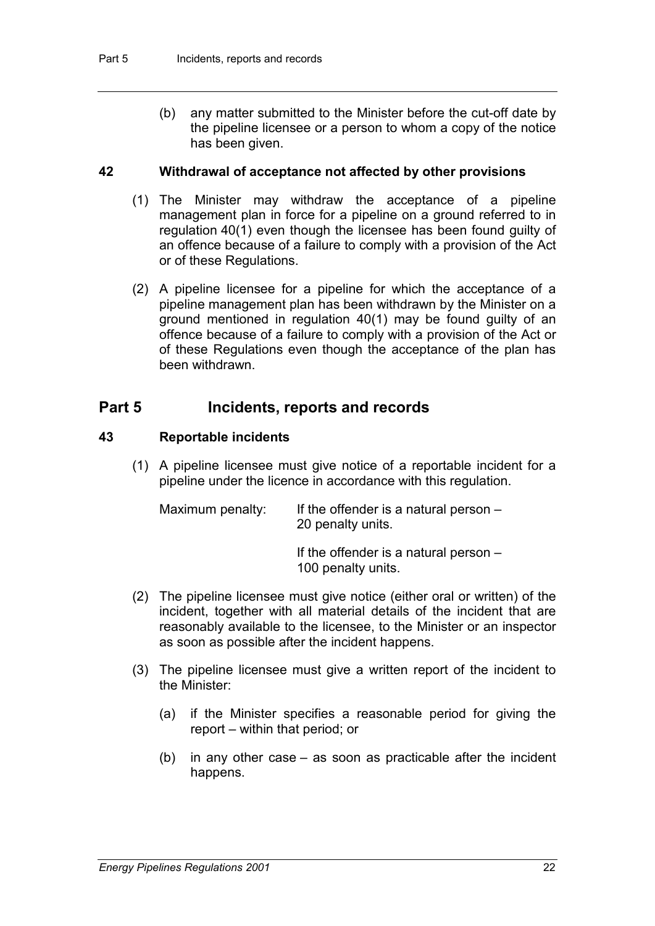(b) any matter submitted to the Minister before the cut-off date by the pipeline licensee or a person to whom a copy of the notice has been given.

#### **42 Withdrawal of acceptance not affected by other provisions**

- (1) The Minister may withdraw the acceptance of a pipeline management plan in force for a pipeline on a ground referred to in regulation 40(1) even though the licensee has been found guilty of an offence because of a failure to comply with a provision of the Act or of these Regulations.
- (2) A pipeline licensee for a pipeline for which the acceptance of a pipeline management plan has been withdrawn by the Minister on a ground mentioned in regulation 40(1) may be found guilty of an offence because of a failure to comply with a provision of the Act or of these Regulations even though the acceptance of the plan has been withdrawn.

## **Part 5 Incidents, reports and records**

#### **43 Reportable incidents**

(1) A pipeline licensee must give notice of a reportable incident for a pipeline under the licence in accordance with this regulation.

| Maximum penalty: | If the offender is a natural person $-$<br>20 penalty units. |
|------------------|--------------------------------------------------------------|
|                  | If the effender is a natural person                          |

If the offender is a natural person – 100 penalty units.

- (2) The pipeline licensee must give notice (either oral or written) of the incident, together with all material details of the incident that are reasonably available to the licensee, to the Minister or an inspector as soon as possible after the incident happens.
- (3) The pipeline licensee must give a written report of the incident to the Minister:
	- (a) if the Minister specifies a reasonable period for giving the report – within that period; or
	- (b) in any other case as soon as practicable after the incident happens.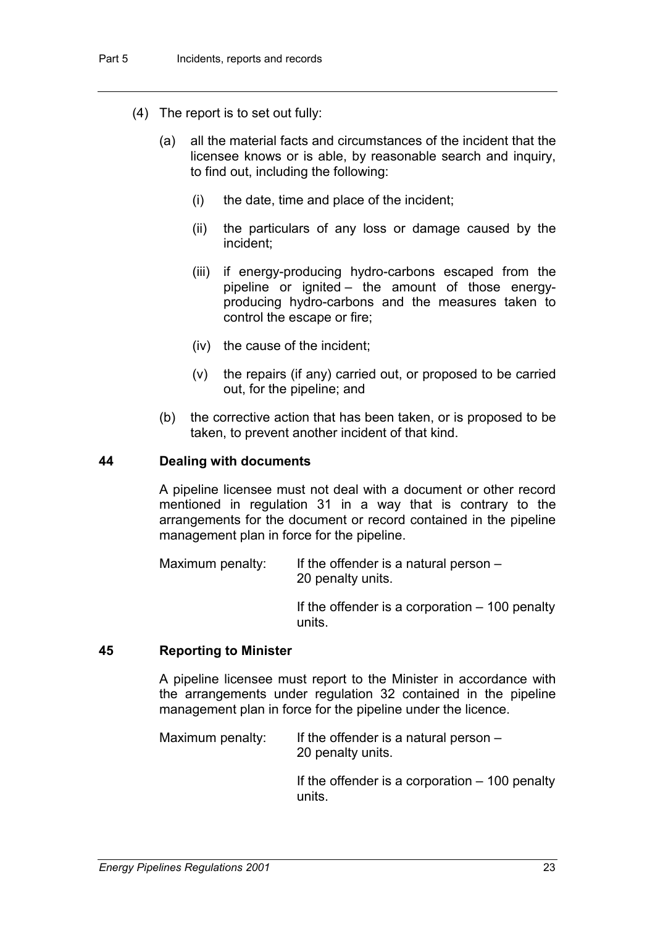- (4) The report is to set out fully:
	- (a) all the material facts and circumstances of the incident that the licensee knows or is able, by reasonable search and inquiry, to find out, including the following:
		- (i) the date, time and place of the incident;
		- (ii) the particulars of any loss or damage caused by the incident;
		- (iii) if energy-producing hydro-carbons escaped from the pipeline or ignited – the amount of those energyproducing hydro-carbons and the measures taken to control the escape or fire;
		- (iv) the cause of the incident;
		- (v) the repairs (if any) carried out, or proposed to be carried out, for the pipeline; and
	- (b) the corrective action that has been taken, or is proposed to be taken, to prevent another incident of that kind.

#### **44 Dealing with documents**

A pipeline licensee must not deal with a document or other record mentioned in regulation 31 in a way that is contrary to the arrangements for the document or record contained in the pipeline management plan in force for the pipeline.

Maximum penalty: If the offender is a natural person  $-$ 20 penalty units.

> If the offender is a corporation  $-100$  penalty units.

#### **45 Reporting to Minister**

A pipeline licensee must report to the Minister in accordance with the arrangements under regulation 32 contained in the pipeline management plan in force for the pipeline under the licence.

| Maximum penalty: | If the offender is a natural person $-$ |
|------------------|-----------------------------------------|
|                  | 20 penalty units.                       |

If the offender is a corporation – 100 penalty units.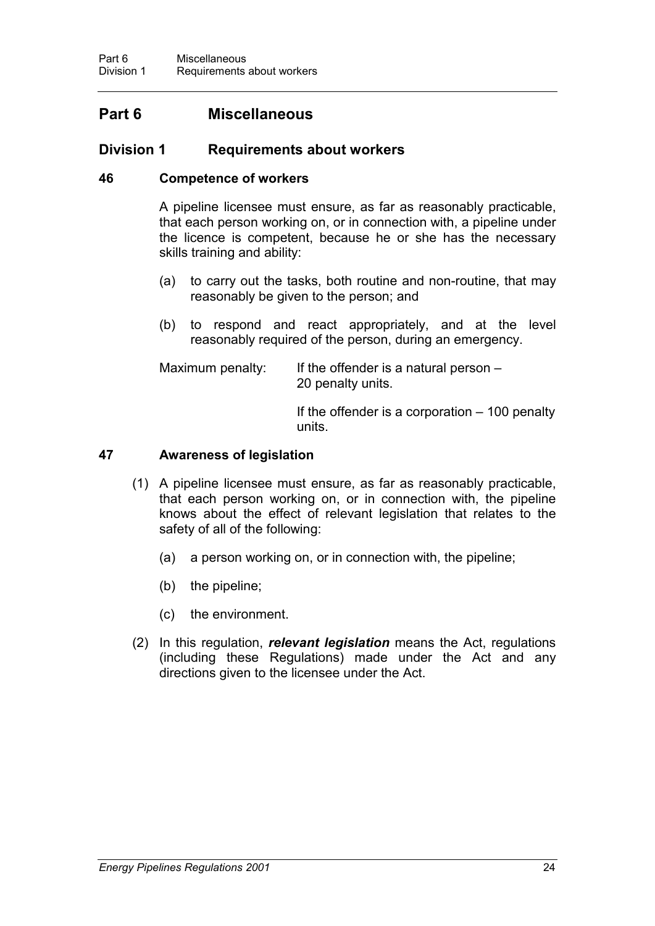## **Part 6 Miscellaneous**

## **Division 1 Requirements about workers**

#### **46 Competence of workers**

A pipeline licensee must ensure, as far as reasonably practicable, that each person working on, or in connection with, a pipeline under the licence is competent, because he or she has the necessary skills training and ability:

- (a) to carry out the tasks, both routine and non-routine, that may reasonably be given to the person; and
- (b) to respond and react appropriately, and at the level reasonably required of the person, during an emergency.

Maximum penalty: If the offender is a natural person  $-$ 20 penalty units.

> If the offender is a corporation – 100 penalty units.

#### **47 Awareness of legislation**

- (1) A pipeline licensee must ensure, as far as reasonably practicable, that each person working on, or in connection with, the pipeline knows about the effect of relevant legislation that relates to the safety of all of the following:
	- (a) a person working on, or in connection with, the pipeline;
	- (b) the pipeline;
	- (c) the environment.
- (2) In this regulation, *relevant legislation* means the Act, regulations (including these Regulations) made under the Act and any directions given to the licensee under the Act.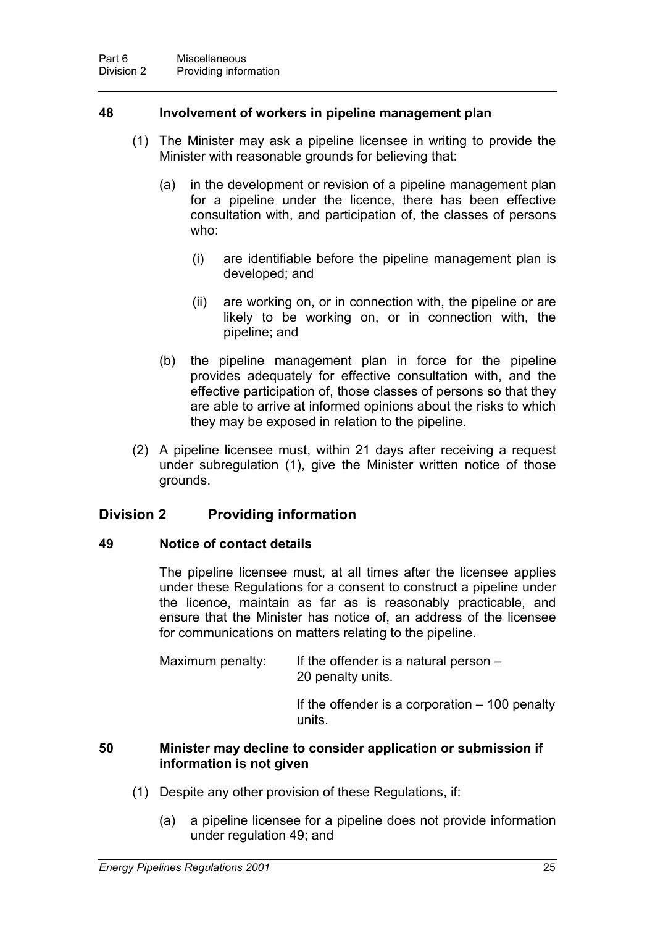#### **48 Involvement of workers in pipeline management plan**

- (1) The Minister may ask a pipeline licensee in writing to provide the Minister with reasonable grounds for believing that:
	- (a) in the development or revision of a pipeline management plan for a pipeline under the licence, there has been effective consultation with, and participation of, the classes of persons who:
		- (i) are identifiable before the pipeline management plan is developed; and
		- (ii) are working on, or in connection with, the pipeline or are likely to be working on, or in connection with, the pipeline; and
	- (b) the pipeline management plan in force for the pipeline provides adequately for effective consultation with, and the effective participation of, those classes of persons so that they are able to arrive at informed opinions about the risks to which they may be exposed in relation to the pipeline.
- (2) A pipeline licensee must, within 21 days after receiving a request under subregulation (1), give the Minister written notice of those grounds.

## **Division 2 Providing information**

#### **49 Notice of contact details**

The pipeline licensee must, at all times after the licensee applies under these Regulations for a consent to construct a pipeline under the licence, maintain as far as is reasonably practicable, and ensure that the Minister has notice of, an address of the licensee for communications on matters relating to the pipeline.

Maximum penalty: If the offender is a natural person  $-$ 20 penalty units.

> If the offender is a corporation  $-100$  penalty units.

#### **50 Minister may decline to consider application or submission if information is not given**

- (1) Despite any other provision of these Regulations, if:
	- (a) a pipeline licensee for a pipeline does not provide information under regulation 49; and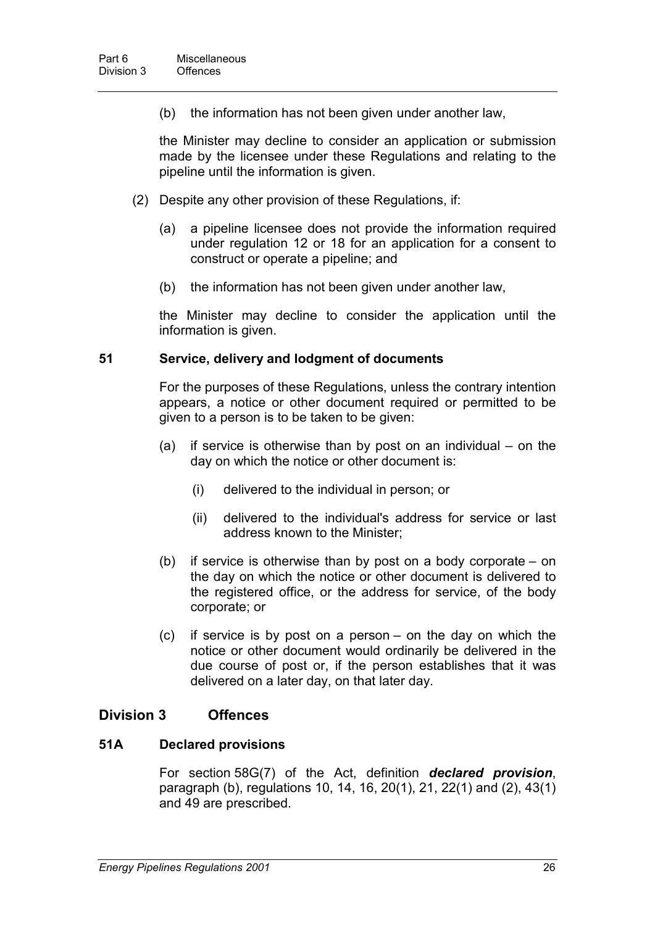(b) the information has not been given under another law,

the Minister may decline to consider an application or submission made by the licensee under these Regulations and relating to the pipeline until the information is given.

- (2) Despite any other provision of these Regulations, if:
	- (a) a pipeline licensee does not provide the information required under regulation 12 or 18 for an application for a consent to construct or operate a pipeline; and
	- (b) the information has not been given under another law,

the Minister may decline to consider the application until the information is given.

#### **51 Service, delivery and lodgment of documents**

For the purposes of these Regulations, unless the contrary intention appears, a notice or other document required or permitted to be given to a person is to be taken to be given:

- (a) if service is otherwise than by post on an individual on the day on which the notice or other document is:
	- (i) delivered to the individual in person; or
	- (ii) delivered to the individual's address for service or last address known to the Minister;
- (b) if service is otherwise than by post on a body corporate on the day on which the notice or other document is delivered to the registered office, or the address for service, of the body corporate; or
- (c) if service is by post on a person on the day on which the notice or other document would ordinarily be delivered in the due course of post or, if the person establishes that it was delivered on a later day, on that later day.

#### **Division 3 Offences**

#### **51A Declared provisions**

For section 58G(7) of the Act, definition *declared provision*, paragraph (b), regulations 10, 14, 16, 20(1), 21, 22(1) and (2), 43(1) and 49 are prescribed.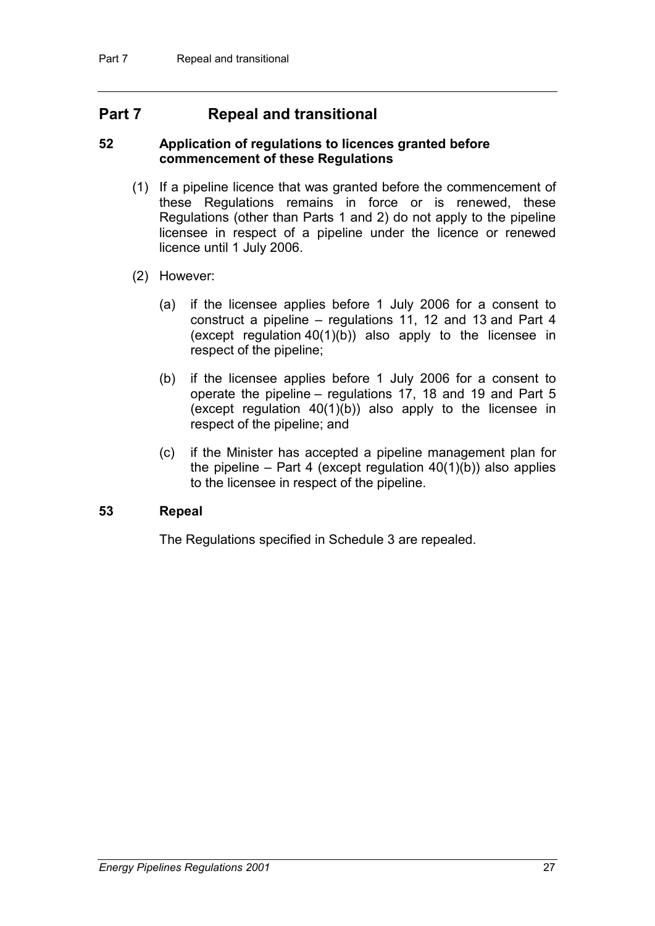## **Part 7 Repeal and transitional**

#### **52 Application of regulations to licences granted before commencement of these Regulations**

- (1) If a pipeline licence that was granted before the commencement of these Regulations remains in force or is renewed, these Regulations (other than Parts 1 and 2) do not apply to the pipeline licensee in respect of a pipeline under the licence or renewed licence until 1 July 2006.
- (2) However:
	- (a) if the licensee applies before 1 July 2006 for a consent to construct a pipeline – regulations 11, 12 and 13 and Part 4 (except regulation 40(1)(b)) also apply to the licensee in respect of the pipeline;
	- (b) if the licensee applies before 1 July 2006 for a consent to operate the pipeline – regulations 17, 18 and 19 and Part 5 (except regulation 40(1)(b)) also apply to the licensee in respect of the pipeline; and
	- (c) if the Minister has accepted a pipeline management plan for the pipeline – Part 4 (except regulation  $40(1)(b)$ ) also applies to the licensee in respect of the pipeline.

#### **53 Repeal**

The Regulations specified in Schedule 3 are repealed.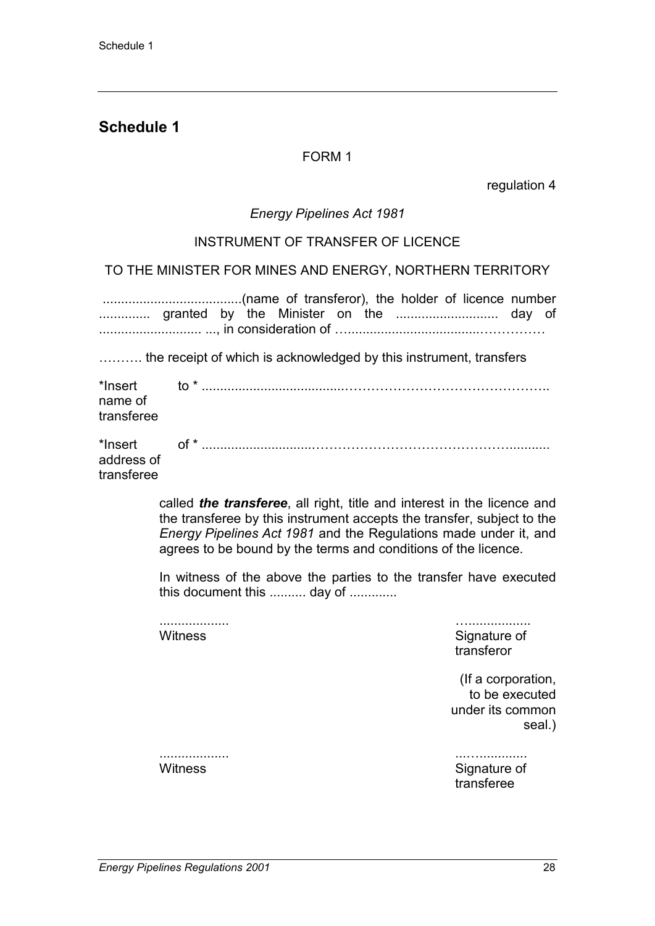## **Schedule 1**

### FORM 1

regulation 4

#### *Energy Pipelines Act 1981*

#### INSTRUMENT OF TRANSFER OF LICENCE

TO THE MINISTER FOR MINES AND ENERGY, NORTHERN TERRITORY

|                          | granted by the Minister on the  day of                             |
|--------------------------|--------------------------------------------------------------------|
|                          | the receipt of which is acknowledged by this instrument, transfers |
| name of<br>transferee    | *Insert    to * ………………………………………………………………………………                     |
| address of<br>transferee |                                                                    |

called *the transferee*, all right, title and interest in the licence and the transferee by this instrument accepts the transfer, subject to the *Energy Pipelines Act 1981* and the Regulations made under it, and agrees to be bound by the terms and conditions of the licence.

In witness of the above the parties to the transfer have executed this document this .......... day of .............

................... ….................

Witness Signature of Signature of transferor

> (If a corporation, to be executed under its common seal.)

................... ...…............. Witness Signature of Signature of transferee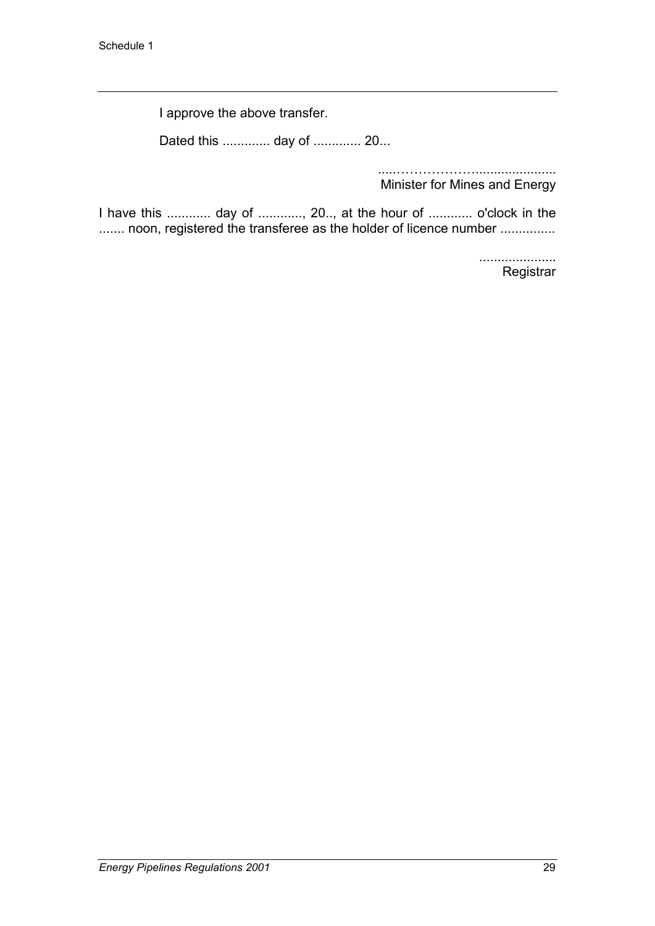I approve the above transfer.

Dated this ............. day of ............. 20...

.....………………...................... Minister for Mines and Energy

I have this ............ day of ............, 20.., at the hour of ............ o'clock in the ....... noon, registered the transferee as the holder of licence number ...............

> ..................... **Registrar**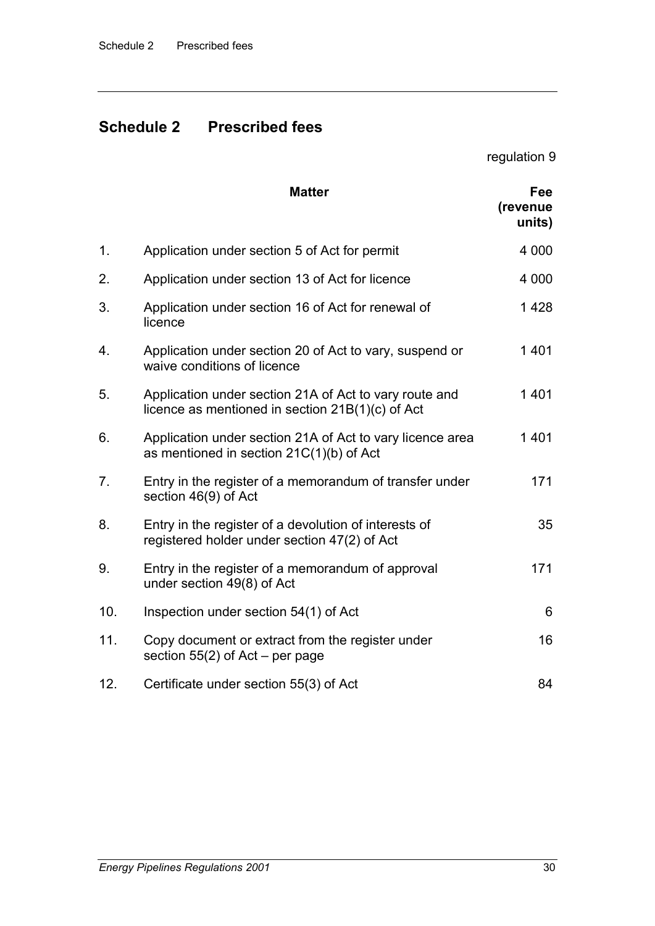# **Schedule 2 Prescribed fees**

regulation 9

|     | <b>Matter</b>                                                                                              | Fee<br>(revenue<br>units) |
|-----|------------------------------------------------------------------------------------------------------------|---------------------------|
| 1.  | Application under section 5 of Act for permit                                                              | 4 0 0 0                   |
| 2.  | Application under section 13 of Act for licence                                                            | 4 0 0 0                   |
| 3.  | Application under section 16 of Act for renewal of<br>licence                                              | 1428                      |
| 4.  | Application under section 20 of Act to vary, suspend or<br>waive conditions of licence                     | 1401                      |
| 5.  | Application under section 21A of Act to vary route and<br>licence as mentioned in section 21B(1)(c) of Act | 1401                      |
| 6.  | Application under section 21A of Act to vary licence area<br>as mentioned in section 21C(1)(b) of Act      | 1401                      |
| 7.  | Entry in the register of a memorandum of transfer under<br>section 46(9) of Act                            | 171                       |
| 8.  | Entry in the register of a devolution of interests of<br>registered holder under section 47(2) of Act      | 35                        |
| 9.  | Entry in the register of a memorandum of approval<br>under section 49(8) of Act                            | 171                       |
| 10. | Inspection under section 54(1) of Act                                                                      | 6                         |
| 11. | Copy document or extract from the register under<br>section $55(2)$ of Act – per page                      | 16                        |
| 12. | Certificate under section 55(3) of Act                                                                     | 84                        |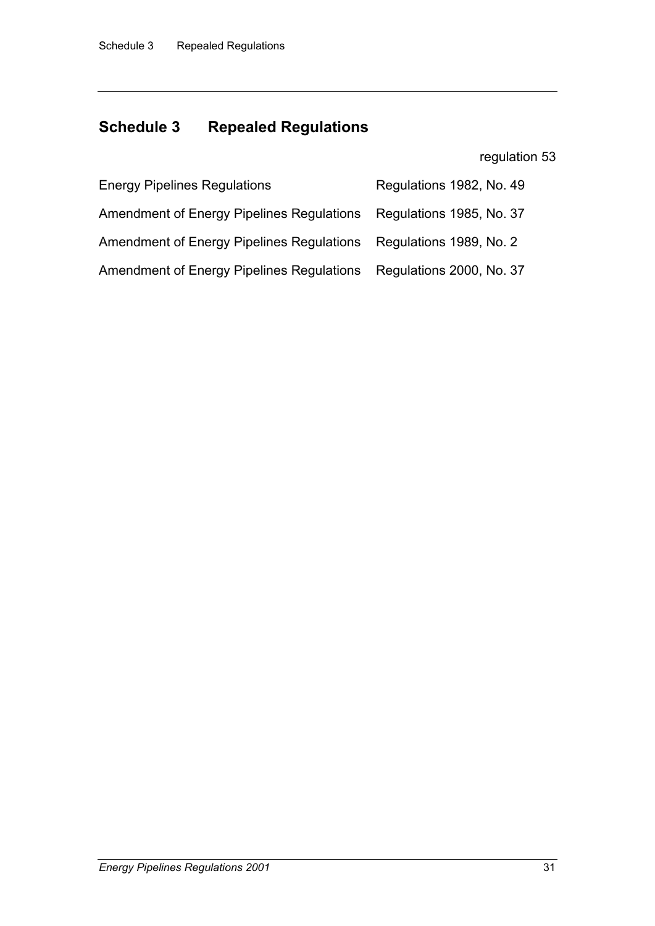# **Schedule 3 Repealed Regulations**

regulation 53

| <b>Energy Pipelines Regulations</b>                               | Regulations 1982, No. 49 |
|-------------------------------------------------------------------|--------------------------|
| Amendment of Energy Pipelines Regulations                         | Regulations 1985, No. 37 |
| Amendment of Energy Pipelines Regulations Regulations 1989, No. 2 |                          |
| <b>Amendment of Energy Pipelines Regulations</b>                  | Regulations 2000, No. 37 |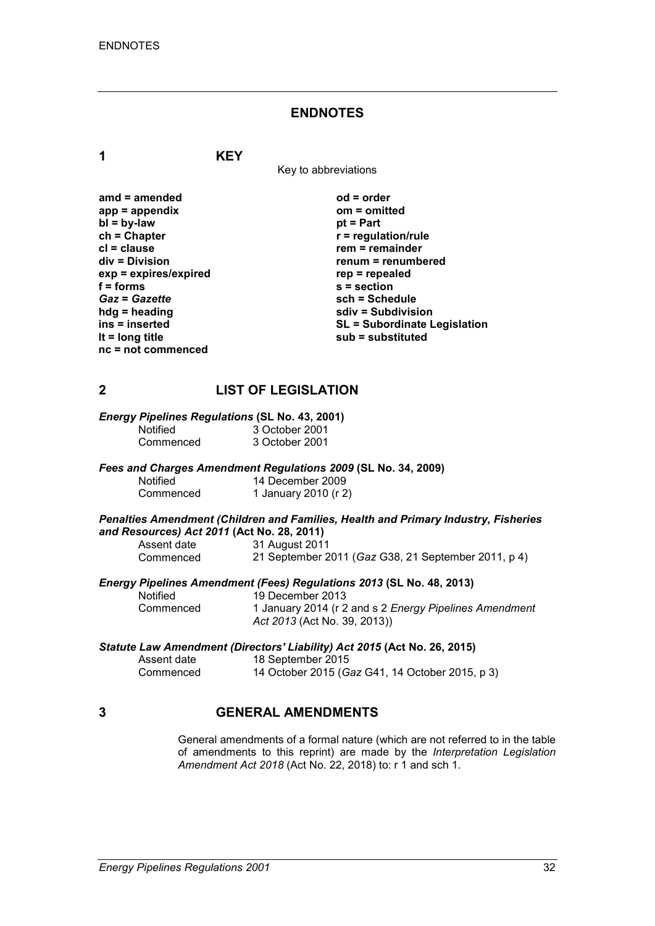#### **ENDNOTES**

**1 KEY**

Key to abbreviations

| amd = amended         |
|-----------------------|
| $app = appendix$      |
| $bl = by-law$         |
| $ch = Chapter$        |
| cl = clause           |
| div = Division        |
| exp = expires/expired |
| $f = form$            |
| <b>Gaz = Gazette</b>  |
| hdg = heading         |
| ins = inserted        |
| It = $long$ title     |
| nc = not commenced    |

**amd = amended od = order app = appendix om = omitted** *<u>pt</u>* **= Part**  $r$  = regulation/rule **crem** = remainder **div = Division renum = renumbered exp = expires/expired rep = repealed f = forms s = section** *Gaz* **=** *Gazette* **sch = Schedule hdg = heading sdiv = Subdivision ins = inserted SL = Subordinate Legislation lt = long title sub = substituted**

## **2 LIST OF LEGISLATION**

#### *Energy Pipelines Regulations* **(SL No. 43, 2001)**

| Notified  | 3 October 2001 |
|-----------|----------------|
| Commenced | 3 October 2001 |

#### *Fees and Charges Amendment Regulations 2009* **(SL No. 34, 2009)**

| Notified  | 14 December 2009     |
|-----------|----------------------|
| Commenced | 1 January 2010 (r 2) |

#### *Penalties Amendment (Children and Families, Health and Primary Industry, Fisheries and Resources) Act 2011* **(Act No. 28, 2011)**

| Assent date | 31 August 2011                                      |
|-------------|-----------------------------------------------------|
| Commenced   | 21 September 2011 (Gaz G38, 21 September 2011, p 4) |

#### *Energy Pipelines Amendment (Fees) Regulations 2013* **(SL No. 48, 2013)**

| Notified  | 19 December 2013                                                                       |
|-----------|----------------------------------------------------------------------------------------|
| Commenced | 1 January 2014 (r 2 and s 2 Energy Pipelines Amendment<br>Act 2013 (Act No. 39, 2013)) |

#### *Statute Law Amendment (Directors' Liability) Act 2015* **(Act No. 26, 2015)**

| Assent date | 18 September 2015                               |
|-------------|-------------------------------------------------|
| Commenced   | 14 October 2015 (Gaz G41, 14 October 2015, p 3) |

## **3 GENERAL AMENDMENTS**

General amendments of a formal nature (which are not referred to in the table of amendments to this reprint) are made by the *Interpretation Legislation Amendment Act 2018* (Act No. 22, 2018) to: r 1 and sch 1.